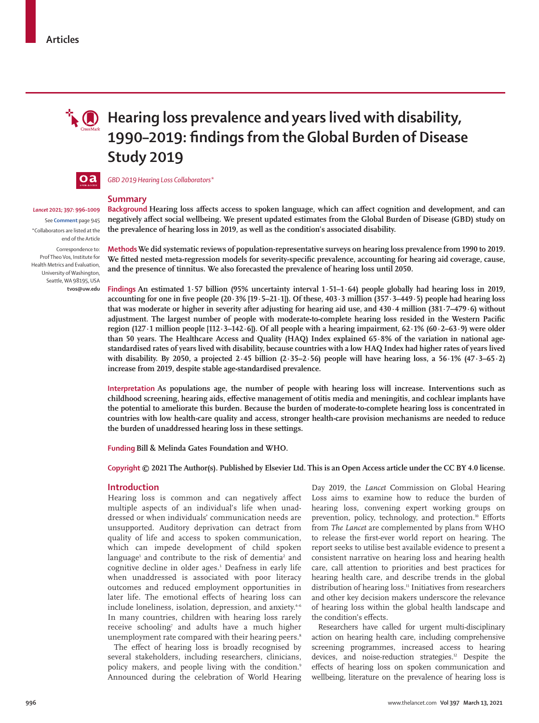

# **i**  $\mathbf{Q}$  Hearing loss prevalence and years lived with disability, **1990–2019: findings from the Global Burden of Disease Study 2019**



*GBD 2019 Hearing Loss Collaborators\**

## **Summary**

*Lancet* **2021; 397: 996–1009** See **Comment** page 945

\*Collaborators are listed at the end of the Article Correspondence to:

Prof Theo Vos, Institute for Health Metrics and Evaluation, University of Washington, Seattle, WA 98195, USA **tvos@uw.edu**

**Background Hearing loss affects access to spoken language, which can affect cognition and development, and can negatively affect social wellbeing. We present updated estimates from the Global Burden of Disease (GBD) study on the prevalence of hearing loss in 2019, as well as the condition's associated disability.**

**MethodsWe did systematic reviews of population-representative surveys on hearing loss prevalence from 1990 to 2019. We fitted nested meta-regression models for severity-specific prevalence, accounting for hearing aid coverage, cause, and the presence of tinnitus. We also forecasted the prevalence of hearing loss until 2050.**

**Findings An estimated 1·57 billion (95% uncertainty interval 1·51–1·64) people globally had hearing loss in 2019, accounting for one in five people (20·3% [19·5–21·1]). Of these, 403·3 million (357·3–449·5) people had hearing loss that was moderate or higher in severity after adjusting for hearing aid use, and 430·4 million (381·7–479·6) without adjustment. The largest number of people with moderate-to-complete hearing loss resided in the Western Pacific region (127·1 million people [112·3–142·6]). Of all people with a hearing impairment, 62·1% (60·2–63·9) were older than 50 years. The Healthcare Access and Quality (HAQ) Index explained 65·8% of the variation in national agestandardised rates of years lived with disability, because countries with a low HAQ Index had higher rates of years lived with disability. By 2050, a projected 2·45 billion (2·35–2·56) people will have hearing loss, a 56·1% (47·3–65·2) increase from 2019, despite stable age-standardised prevalence.**

**Interpretation As populations age, the number of people with hearing loss will increase. Interventions such as childhood screening, hearing aids, effective management of otitis media and meningitis, and cochlear implants have the potential to ameliorate this burden. Because the burden of moderate-to-complete hearing loss is concentrated in countries with low health-care quality and access, stronger health-care provision mechanisms are needed to reduce the burden of unaddressed hearing loss in these settings.**

**Funding Bill & Melinda Gates Foundation and WHO.**

**Copyright © 2021 The Author(s). Published by Elsevier Ltd. This is an Open Access article under the CC BY 4.0 license.**

# **Introduction**

Hearing loss is common and can negatively affect multiple aspects of an individual's life when unaddressed or when individuals' communication needs are unsupported. Auditory deprivation can detract from quality of life and access to spoken communication, which can impede development of child spoken language<sup>1</sup> and contribute to the risk of dementia<sup>2</sup> and cognitive decline in older ages.<sup>3</sup> Deafness in early life when unaddressed is associated with poor literacy outcomes and reduced employment opportunities in later life. The emotional effects of hearing loss can include loneliness, isolation, depression, and anxiety.<sup>4-6</sup> In many countries, children with hearing loss rarely receive schooling<sup>7</sup> and adults have a much higher unemployment rate compared with their hearing peers.<sup>8</sup>

The effect of hearing loss is broadly recognised by several stakeholders, including researchers, clinicians, policy makers, and people living with the condition.<sup>9</sup> Announced during the celebration of World Hearing

Day 2019, the *Lancet* Commission on Global Hearing Loss aims to examine how to reduce the burden of hearing loss, convening expert working groups on prevention, policy, technology, and protection.<sup>10</sup> Efforts from *The Lancet* are complemented by plans from WHO to release the first-ever world report on hearing. The report seeks to utilise best available evidence to present a consistent narrative on hearing loss and hearing health care, call attention to priorities and best practices for hearing health care, and describe trends in the global distribution of hearing loss.<sup>11</sup> Initiatives from researchers and other key decision makers underscore the relevance of hearing loss within the global health landscape and the condition's effects.

Researchers have called for urgent multi-disciplinary action on hearing health care, including comprehensive screening programmes, increased access to hearing devices, and noise-reduction strategies.<sup>12</sup> Despite the effects of hearing loss on spoken communication and wellbeing, literature on the prevalence of hearing loss is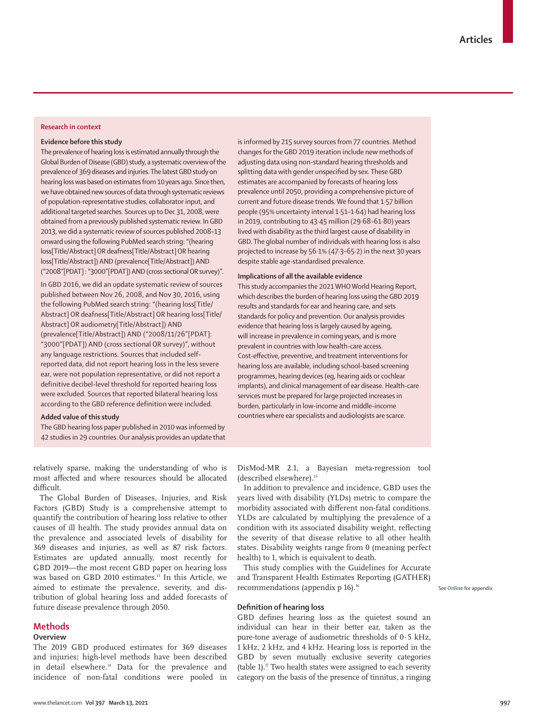## **Research in context**

## **Evidence before this study**

The prevalence of hearing loss is estimated annually through the Global Burden of Disease (GBD) study, a systematic overview of the prevalence of 369 diseases and injuries. The latest GBD study on hearing loss was based on estimates from 10 years ago. Since then, we have obtained new sources of data through systematic reviews of population-representative studies, collaborator input, and additional targeted searches. Sources up to Dec 31, 2008, were obtained from a previously published systematic review. In GBD 2013, we did a systematic review of sources published 2008–13 onward using the following PubMed search string: "(hearing loss[Title/Abstract] OR deafness[Title/Abstract] OR hearing loss[Title/Abstract]) AND (prevalence[Title/Abstract]) AND ("2008"[PDAT] : "3000"[PDAT]) AND (cross sectional OR survey)".

In GBD 2016, we did an update systematic review of sources published between Nov 26, 2008, and Nov 30, 2016, using the following PubMed search string: "(hearing loss[Title/ Abstract] OR deafness[Title/Abstract] OR hearing loss[Title/ Abstract] OR audiometry[Title/Abstract]) AND (prevalence[Title/Abstract]) AND ("2008/11/26"[PDAT]: "3000"[PDAT]) AND (cross sectional OR survey)", without any language restrictions. Sources that included selfreported data, did not report hearing loss in the less severe ear, were not population representative, or did not report a definitive decibel-level threshold for reported hearing loss were excluded. Sources that reported bilateral hearing loss according to the GBD reference definition were included.

### **Added value of this study**

The GBD hearing loss paper published in 2010 was informed by 42 studies in 29 countries. Our analysis provides an update that is informed by 215 survey sources from 77 countries. Method changes for the GBD 2019 iteration include new methods of adjusting data using non-standard hearing thresholds and splitting data with gender unspecified by sex. These GBD estimates are accompanied by forecasts of hearing loss prevalence until 2050, providing a comprehensive picture of current and future disease trends. We found that 1·57 billion people (95% uncertainty interval 1·51–1·64) had hearing loss in 2019, contributing to 43·45 million (29·68–61·80) years lived with disability as the third largest cause of disability in GBD. The global number of individuals with hearing loss is also projected to increase by 56·1% (47·3–65·2) in the next 30 years despite stable age-standardised prevalence.

#### **Implications of all the available evidence**

This study accompanies the 2021 WHO World Hearing Report, which describes the burden of hearing loss using the GBD 2019 results and standards for ear and hearing care, and sets standards for policy and prevention. Our analysis provides evidence that hearing loss is largely caused by ageing, will increase in prevalence in coming years, and is more prevalent in countries with low health-care access. Cost-effective, preventive, and treatment interventions for hearing loss are available, including school-based screening programmes, hearing devices (eg, hearing aids or cochlear implants), and clinical management of ear disease. Health-care services must be prepared for large projected increases in burden, particularly in low-income and middle-income countries where ear specialists and audiologists are scarce.

relatively sparse, making the understanding of who is most affected and where resources should be allocated difficult.

The Global Burden of Diseases, Injuries, and Risk Factors (GBD) Study is a comprehensive attempt to quantify the contribution of hearing loss relative to other causes of ill health. The study provides annual data on the prevalence and associated levels of disability for 369 diseases and injuries, as well as 87 risk factors. Estimates are updated annually, most recently for GBD 2019—the most recent GBD paper on hearing loss was based on GBD 2010 estimates.<sup>13</sup> In this Article, we aimed to estimate the prevalence, severity, and distribution of global hearing loss and added forecasts of future disease prevalence through 2050.

# **Methods**

# **Overview**

The 2019 GBD produced estimates for 369 diseases and injuries; high-level methods have been described in detail elsewhere.<sup>14</sup> Data for the prevalence and incidence of non-fatal conditions were pooled in DisMod-MR 2.1, a Bayesian meta-regression tool (described elsewhere).15

In addition to prevalence and incidence, GBD uses the years lived with disability (YLDs) metric to compare the morbidity associated with different non-fatal conditions. YLDs are calculated by multiplying the prevalence of a condition with its associated disability weight, reflecting the severity of that disease relative to all other health states. Disability weights range from 0 (meaning perfect health) to 1, which is equivalent to death.

This study complies with the Guidelines for Accurate and Transparent Health Estimates Reporting (GATHER) recommendations (appendix p 16).<sup>16</sup>

See **Online** for appendix

#### **Definition of hearing loss**

GBD defines hearing loss as the quietest sound an individual can hear in their better ear, taken as the pure-tone average of audiometric thresholds of 0·5 kHz, 1 kHz, 2 kHz, and 4 kHz. Hearing loss is reported in the GBD by seven mutually exclusive severity categories (table 1). $\sigma$  Two health states were assigned to each severity category on the basis of the presence of tinnitus, a ringing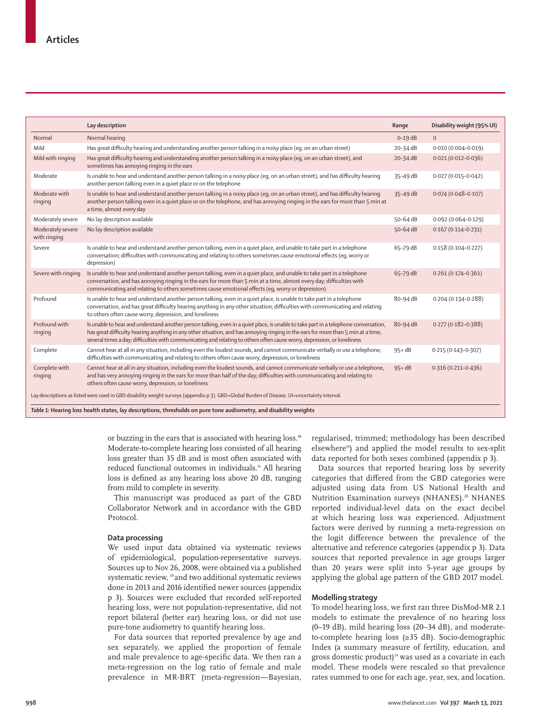|                                                                                                                                              | Lay description                                                                                                                                                                                                                                                                                                                                                                                      | Range        | Disability weight (95% UI) |  |  |
|----------------------------------------------------------------------------------------------------------------------------------------------|------------------------------------------------------------------------------------------------------------------------------------------------------------------------------------------------------------------------------------------------------------------------------------------------------------------------------------------------------------------------------------------------------|--------------|----------------------------|--|--|
| Normal                                                                                                                                       | Normal hearing                                                                                                                                                                                                                                                                                                                                                                                       | $0-19$ dB    | $\mathbf{0}$               |  |  |
| Mild                                                                                                                                         | Has great difficulty hearing and understanding another person talking in a noisy place (eg, on an urban street)                                                                                                                                                                                                                                                                                      | 20-34 dB     | $0.010(0.004 - 0.019)$     |  |  |
| Mild with ringing                                                                                                                            | Has great difficulty hearing and understanding another person talking in a noisy place (eq, on an urban street), and<br>sometimes has annoying ringing in the ears                                                                                                                                                                                                                                   | $20 - 34$ dB | $0.021(0.012 - 0.036)$     |  |  |
| Moderate                                                                                                                                     | Is unable to hear and understand another person talking in a noisy place (eg, on an urban street), and has difficulty hearing<br>another person talking even in a quiet place or on the telephone                                                                                                                                                                                                    | 35-49 dB     | $0.027(0.015 - 0.042)$     |  |  |
| Moderate with<br>ringing                                                                                                                     | Is unable to hear and understand another person talking in a noisy place (eq, on an urban street), and has difficulty hearing<br>another person talking even in a quiet place or on the telephone, and has annoying ringing in the ears for more than 5 min at<br>a time, almost every day                                                                                                           | $35-49$ dB   | $0.074(0.048 - 0.107)$     |  |  |
| Moderately severe                                                                                                                            | No lay description available                                                                                                                                                                                                                                                                                                                                                                         | 50-64 dB     | $0.092(0.064 - 0.129)$     |  |  |
| Moderately severe<br>with ringing                                                                                                            | No lay description available                                                                                                                                                                                                                                                                                                                                                                         | 50-64 dB     | $0.167(0.114 - 0.231)$     |  |  |
| Severe                                                                                                                                       | Is unable to hear and understand another person talking, even in a quiet place, and unable to take part in a telephone<br>conversation; difficulties with communicating and relating to others sometimes cause emotional effects (eq, worry or<br>depression)                                                                                                                                        | 65-79 dB     | $0.158(0.104 - 0.227)$     |  |  |
| Severe with ringing                                                                                                                          | Is unable to hear and understand another person talking, even in a quiet place, and unable to take part in a telephone<br>conversation, and has annoying ringing in the ears for more than 5 min at a time, almost every day; difficulties with<br>communicating and relating to others sometimes cause emotional effects (eq, worry or depression)                                                  | 65-79 dB     | $0.261(0.174 - 0.361)$     |  |  |
| Profound                                                                                                                                     | Is unable to hear and understand another person talking, even in a quiet place, is unable to take part in a telephone<br>conversation, and has great difficulty hearing anything in any other situation; difficulties with communicating and relating<br>to others often cause worry, depression, and loneliness                                                                                     | 80-94 dB     | $0.204(0.134 - 0.288)$     |  |  |
| Profound with<br>ringing                                                                                                                     | Is unable to hear and understand another person talking, even in a quiet place, is unable to take part in a telephone conversation,<br>has great difficulty hearing anything in any other situation, and has annoying ringing in the ears for more than 5 min at a time,<br>several times a day; difficulties with communicating and relating to others often cause worry, depression, or loneliness | 80-94 dB     | $0.277(0.182 - 0.388)$     |  |  |
| Complete                                                                                                                                     | Cannot hear at all in any situation, including even the loudest sounds, and cannot communicate verbally or use a telephone;<br>difficulties with communicating and relating to others often cause worry, depression, or loneliness                                                                                                                                                                   | $95 + dB$    | 0.215 (0.143-0.307)        |  |  |
| Complete with<br>ringing                                                                                                                     | Cannot hear at all in any situation, including even the loudest sounds, and cannot communicate verbally or use a telephone,<br>and has very annoying ringing in the ears for more than half of the day; difficulties with communicating and relating to<br>others often cause worry, depression, or loneliness                                                                                       | $95 + dB$    | $0.316(0.211 - 0.436)$     |  |  |
| Lay descriptions as listed were used in GBD disability weight surveys (appendix p 3). GBD=Global Burden of Disease. UI=uncertainty interval. |                                                                                                                                                                                                                                                                                                                                                                                                      |              |                            |  |  |
| Table 1: Hearing loss health states, lay descriptions, thresholds on pure tone audiometry, and disability weights                            |                                                                                                                                                                                                                                                                                                                                                                                                      |              |                            |  |  |

or buzzing in the ears that is associated with hearing loss.<sup>18</sup> Moderate-to-complete hearing loss consisted of all hearing loss greater than 35 dB and is most often associated with reduced functional outcomes in individuals.<sup>11</sup> All hearing loss is defined as any hearing loss above 20 dB, ranging from mild to complete in severity.

This manuscript was produced as part of the GBD Collaborator Network and in accordance with the GBD Protocol.

# **Data processing**

We used input data obtained via systematic reviews of epidemiological, population-representative surveys. Sources up to Nov 26, 2008, were obtained via a published systematic review, <sup>19</sup> and two additional systematic reviews done in 2013 and 2016 identified newer sources (appendix p 3). Sources were excluded that recorded self-reported hearing loss, were not population-representative, did not report bilateral (better ear) hearing loss, or did not use pure-tone audiometry to quantify hearing loss.

For data sources that reported prevalence by age and sex separately, we applied the proportion of female and male prevalence to age-specific data. We then ran a meta-regression on the log ratio of female and male prevalence in MR-BRT (meta-regression—Bayesian,

regularised, trimmed; methodology has been described elsewhere<sup>14</sup>) and applied the model results to sex-split data reported for both sexes combined (appendix p 3).

Data sources that reported hearing loss by severity categories that differed from the GBD categories were adjusted using data from US National Health and Nutrition Examination surveys (NHANES).<sup>20</sup> NHANES reported individual-level data on the exact decibel at which hearing loss was experienced. Adjustment factors were derived by running a meta-regression on the logit difference between the prevalence of the alternative and reference categories (appendix p 3). Data sources that reported prevalence in age groups larger than 20 years were split into 5-year age groups by applying the global age pattern of the GBD 2017 model.

# **Modelling strategy**

To model hearing loss, we first ran three DisMod-MR 2.1 models to estimate the prevalence of no hearing loss (0–19 dB), mild hearing loss (20–34 dB), and moderateto-complete hearing loss (≥35 dB). Socio-demographic Index (a summary measure of fertility, education, and gross domestic product)<sup>14</sup> was used as a covariate in each model. These models were rescaled so that prevalence rates summed to one for each age, year, sex, and location.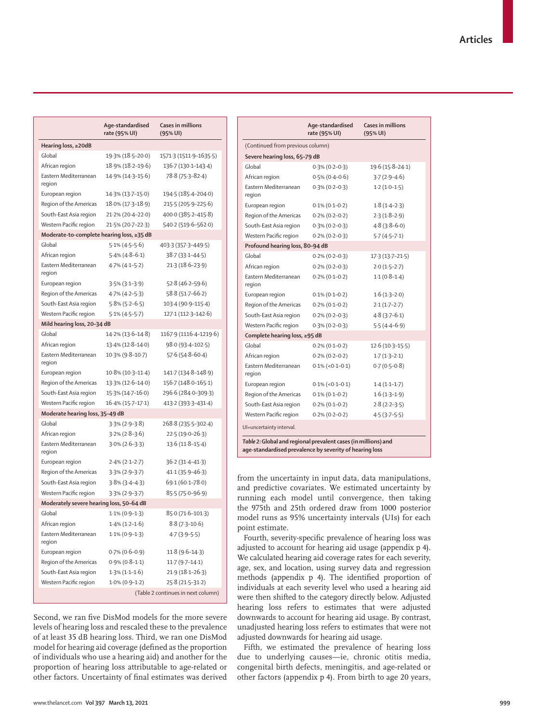|                                           | Age-standardised<br>rate (95% UI)  | Cases in millions<br>$(95%$ UI) |  |  |  |  |
|-------------------------------------------|------------------------------------|---------------------------------|--|--|--|--|
| Hearing loss, ≥20dB                       |                                    |                                 |  |  |  |  |
| Global                                    | 19.3% (18.5-20.0)                  | 1571.3 (1511.9-1635.5)          |  |  |  |  |
| African region                            | 18.9% (18.2-19.6)                  | 136.7 (130.1-143.4)             |  |  |  |  |
| Eastern Mediterranean<br>region           | 14.9% (14.3-15.6)                  | 78.8 (75.3-82.4)                |  |  |  |  |
| European region                           | 14.3% (13.7–15.0)                  | 194.5 (185.4–204.0)             |  |  |  |  |
| Region of the Americas                    | 18.0% (17.3-18.9)                  | 215.5 (205.9-225.6)             |  |  |  |  |
| South-East Asia region                    | 21.2% (20.4-22.0)                  | 400.0 (385.2-415.8)             |  |  |  |  |
| Western Pacific region                    | 21.5% (20.7-22.3)                  | 540.2 (519.6-562.0)             |  |  |  |  |
| Moderate-to-complete hearing loss, ≥35 dB |                                    |                                 |  |  |  |  |
| Global                                    | $5.1\%$ (4.5-5.6)                  | 403.3 (357.3-449.5)             |  |  |  |  |
| African region                            | $5.4\%$ (4 $-8-6.1$ )              | 38.7 (33.1-44.5)                |  |  |  |  |
| Eastern Mediterranean<br>region           | $4.7\%$ ( $4.1 - 5.2$ )            | $21.3(18.6-23.9)$               |  |  |  |  |
| European region                           | $3.5\%$ (3.1–3.9)                  | $52.8(46.2 - 59.6)$             |  |  |  |  |
| Region of the Americas                    | $4.7\%$ ( $4.2-5.3$ )              | 58.8 (51.7–66.2)                |  |  |  |  |
| South-East Asia region                    | $5.8\%$ (5.2–6.5)                  | 103-4 (90-9-115-4)              |  |  |  |  |
| Western Pacific region                    | $5.1\% (4.5-5.7)$                  | 127-1 (112-3-142-6)             |  |  |  |  |
| Mild hearing loss, 20-34 dB               |                                    |                                 |  |  |  |  |
| Global                                    | 14.2% (13.6–14.8)                  | 1167.9 (1116.4-1219.6)          |  |  |  |  |
| African region                            | 13.4% (12.8–14.0)                  | 98.0 (93.4-102.5)               |  |  |  |  |
| Eastern Mediterranean<br>region           | $10.3\%$ (9.8-10.7)                | 57.6 (54.8–60.4)                |  |  |  |  |
| European region                           | $10.8\%$ (10.3-11.4)               | 1417 (134-8-148-9)              |  |  |  |  |
| Region of the Americas                    | 13.3% (12.6-14.0)                  | 156 7 (148 0 - 165 1)           |  |  |  |  |
| South-East Asia region                    | 15.3% (14.7-16.0)                  | 296.6 (284.0-309.3)             |  |  |  |  |
| Western Pacific region                    | 16.4% (15.7-17.1)                  | 413-2 (393-3-431-4)             |  |  |  |  |
| Moderate hearing loss, 35-49 dB           |                                    |                                 |  |  |  |  |
| Global                                    | $3.3\%$ (2.9–3.8)                  | 268.8 (235.5–302.4)             |  |  |  |  |
| African region                            | $3.2\%$ (2.8–3.6)                  | 22.5 (19.0-26.3)                |  |  |  |  |
| Eastern Mediterranean<br>region           | $3.0\%$ (2.6–3.3)                  | $13.6(11.8-15.4)$               |  |  |  |  |
| European region                           | $2.4\% (2.1 - 2.7)$                | $36.2(31.4 - 41.3)$             |  |  |  |  |
| Region of the Americas                    | $3.3\%$ (2.9-3.7)                  | $41.1(35.9 - 46.3)$             |  |  |  |  |
| South-East Asia region                    | $3.8\%$ (3.4-4.3)                  | 69.1 (60.1–78.0)                |  |  |  |  |
| Western Pacific region                    | $3.3\%$ (2.9-3.7)                  | 85.5 (75.0–96.9)                |  |  |  |  |
| Moderately severe hearing loss, 50-64 dB  |                                    |                                 |  |  |  |  |
| Global                                    | $1.1\% (0.9-1.3)$                  | 85.0 (71.6-101.3)               |  |  |  |  |
| African region                            | $1.4\% (1.2 - 1.6)$                | $8.8(7.3 - 10.6)$               |  |  |  |  |
| Eastern Mediterranean<br>region           | $1.1\% (0.9-1.3)$                  | $4.7(3.9-5.5)$                  |  |  |  |  |
| European region                           | $0.7\%$ (0.6-0.9)                  | $11.8(9.6-14.3)$                |  |  |  |  |
| Region of the Americas                    | $0.9\%$ (0.8-1.1)                  | $11.7(9.7-14.1)$                |  |  |  |  |
| South-East Asia region                    | $1.3\%$ (1.1–1.6)                  | $21.9(18.1 - 26.3)$             |  |  |  |  |
| Western Pacific region                    | $1.0\% (0.9-1.2)$                  | 25.8 (21.5-31.2)                |  |  |  |  |
|                                           | (Table 2 continues in next column) |                                 |  |  |  |  |

Second, we ran five DisMod models for the more severe levels of hearing loss and rescaled these to the prevalence of at least 35 dB hearing loss. Third, we ran one DisMod model for hearing aid coverage (defined as the proportion of individuals who use a hearing aid) and another for the proportion of hearing loss attributable to age-related or other factors. Uncertainty of final estimates was derived

|                                                                                                                           | Age-standardised<br>rate (95% UI) | <b>Cases in millions</b><br>$(95% \, \text{UI})$ |  |  |  |  |
|---------------------------------------------------------------------------------------------------------------------------|-----------------------------------|--------------------------------------------------|--|--|--|--|
| (Continued from previous column)                                                                                          |                                   |                                                  |  |  |  |  |
| Severe hearing loss, 65-79 dB                                                                                             |                                   |                                                  |  |  |  |  |
| Global                                                                                                                    | $0.3\%$ (0.2–0.3)                 | 19.6 (15.8-24.1)                                 |  |  |  |  |
| African region                                                                                                            | $0.5\%$ (0.4–0.6)                 | $3.7(2.9 - 4.6)$                                 |  |  |  |  |
| Eastern Mediterranean<br>region                                                                                           | $0.3\%$ (0.2–0.3)                 | $1.2(1.0-1.5)$                                   |  |  |  |  |
| European region                                                                                                           | $0.1\% (0.1 - 0.2)$               | $1.8(1.4-2.3)$                                   |  |  |  |  |
| Region of the Americas                                                                                                    | $0.2\%$ (0.2-0.2)                 | $2.3(1.8-2.9)$                                   |  |  |  |  |
| South-East Asia region                                                                                                    | $0.3\%$ (0.2-0.3)                 | $4.8(3.8-6.0)$                                   |  |  |  |  |
| Western Pacific region                                                                                                    | $0.2\%$ (0.2-0.3)                 | $5.7(4.5-7.1)$                                   |  |  |  |  |
| Profound hearing loss, 80-94 dB                                                                                           |                                   |                                                  |  |  |  |  |
| Global                                                                                                                    | $0.2\%$ (0.2-0.3)                 | $17.3(13.7 - 21.5)$                              |  |  |  |  |
| African region                                                                                                            | $0.2\%$ (0.2-0.3)                 | $2.0(1.5-2.7)$                                   |  |  |  |  |
| Eastern Mediterranean<br>region                                                                                           | $0.2\%$ (0.1-0.2)                 | $1.1(0.8-1.4)$                                   |  |  |  |  |
| European region                                                                                                           | $0.1\%$ (0.1–0.2)                 | $1.6(1.3-2.0)$                                   |  |  |  |  |
| Region of the Americas                                                                                                    | $0.2\%$ (0.1–0.2)                 | $2.1(1.7-2.7)$                                   |  |  |  |  |
| South-East Asia region                                                                                                    | $0.2\%$ (0.2-0.3)                 | $4.8(3.7-6.1)$                                   |  |  |  |  |
| Western Pacific region                                                                                                    | $0.3\%$ (0.2-0.3)                 | $5.5(4.4-6.9)$                                   |  |  |  |  |
| Complete hearing loss, ≥95 dB                                                                                             |                                   |                                                  |  |  |  |  |
| Global                                                                                                                    | $0.2\%$ (0.1-0.2)                 | $12.6(10.3-15.5)$                                |  |  |  |  |
| African region                                                                                                            | $0.2\%$ (0.2-0.2)                 | $1.7(1.3-2.1)$                                   |  |  |  |  |
| Eastern Mediterranean<br>region                                                                                           | $0.1\%$ (<0.1-0.1)                | $0.7(0.5-0.8)$                                   |  |  |  |  |
| European region                                                                                                           | $0.1\%$ (<0.1–0.1)                | $1.4(1.1-1.7)$                                   |  |  |  |  |
| Region of the Americas                                                                                                    | $0.1\% (0.1 - 0.2)$               | $1.6(1.3-1.9)$                                   |  |  |  |  |
| South-East Asia region                                                                                                    | $0.2\% (0.1 - 0.2)$               | $2.8(2.2-3.5)$                                   |  |  |  |  |
| Western Pacific region                                                                                                    | $0.2\% (0.2 - 0.2)$               | $4.5(3.7-5.5)$                                   |  |  |  |  |
| UI=uncertainty interval.                                                                                                  |                                   |                                                  |  |  |  |  |
| Table 2: Global and regional prevalent cases (in millions) and<br>age-standardised prevalence by severity of hearing loss |                                   |                                                  |  |  |  |  |

from the uncertainty in input data, data manipulations, and predictive covariates. We estimated uncertainty by running each model until convergence, then taking the 975th and 25th ordered draw from 1000 posterior model runs as 95% uncertainty intervals (UIs) for each point estimate.

Fourth, severity-specific prevalence of hearing loss was adjusted to account for hearing aid usage (appendix p 4). We calculated hearing aid coverage rates for each severity, age, sex, and location, using survey data and regression methods (appendix p 4). The identified proportion of individuals at each severity level who used a hearing aid were then shifted to the category directly below. Adjusted hearing loss refers to estimates that were adjusted downwards to account for hearing aid usage. By contrast, unadjusted hearing loss refers to estimates that were not adjusted downwards for hearing aid usage.

Fifth, we estimated the prevalence of hearing loss due to underlying causes—ie, chronic otitis media, congenital birth defects, meningitis, and age-related or other factors (appendix p 4). From birth to age 20 years,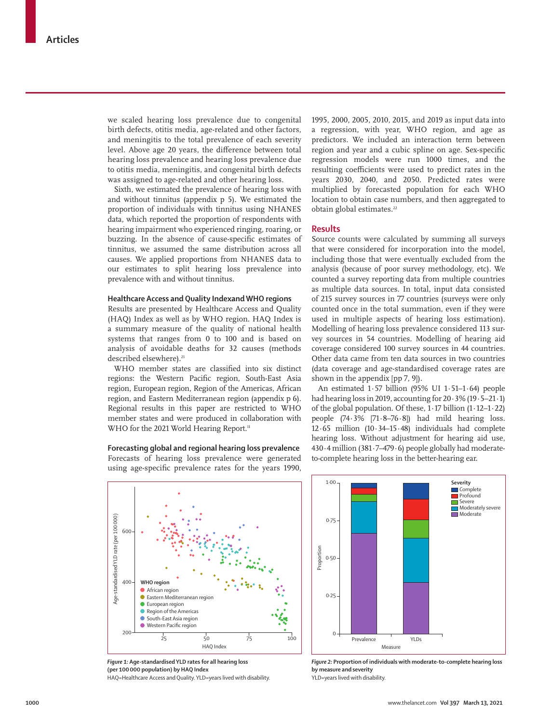we scaled hearing loss prevalence due to congenital birth defects, otitis media, age-related and other factors, and meningitis to the total prevalence of each severity level. Above age 20 years, the difference between total hearing loss prevalence and hearing loss prevalence due to otitis media, meningitis, and congenital birth defects was assigned to age-related and other hearing loss.

Sixth, we estimated the prevalence of hearing loss with and without tinnitus (appendix p 5). We estimated the proportion of individuals with tinnitus using NHANES data, which reported the proportion of respondents with hearing impairment who experienced ringing, roaring, or buzzing. In the absence of cause-specific estimates of tinnitus, we assumed the same distribution across all causes. We applied proportions from NHANES data to our estimates to split hearing loss prevalence into prevalence with and without tinnitus.

## **Healthcare Access and Quality Indexand WHO regions**

Results are presented by Healthcare Access and Quality (HAQ) Index as well as by WHO region. HAQ Index is a summary measure of the quality of national health systems that ranges from 0 to 100 and is based on analysis of avoidable deaths for 32 causes (methods described elsewhere).<sup>21</sup>

WHO member states are classified into six distinct regions: the Western Pacific region, South-East Asia region, European region, Region of the Americas, African region, and Eastern Mediterranean region (appendix p 6). Regional results in this paper are restricted to WHO member states and were produced in collaboration with WHO for the 2021 World Hearing Report.<sup>11</sup>

**Forecasting global and regional hearing loss prevalence** Forecasts of hearing loss prevalence were generated using age-specific prevalence rates for the years 1990,

Age-standardised YLD rate (per 100 000) Age-standardised YLD rate (per 1000000) 600 400 **WHO region African region**  $\bullet$  Eastern Mediterranean regio European region ● Region of the Americas **South-East Asia region** 

> 25 50 75 100 HAQ Index

*Figure 1:* **Age-standardised YLD rates for all hearing loss (per 100000 population) by HAQ Index** HAQ=Healthcare Access and Quality. YLD=years lived with disability.

Western Pacific region

200

1995, 2000, 2005, 2010, 2015, and 2019 as input data into a regression, with year, WHO region, and age as predictors. We included an interaction term between region and year and a cubic spline on age. Sex-specific regression models were run 1000 times, and the resulting coefficients were used to predict rates in the years 2030, 2040, and 2050. Predicted rates were multiplied by forecasted population for each WHO location to obtain case numbers, and then aggregated to obtain global estimates.<sup>22</sup>

# **Results**

Source counts were calculated by summing all surveys that were considered for incorporation into the model, including those that were eventually excluded from the analysis (because of poor survey methodology, etc). We counted a survey reporting data from multiple countries as multiple data sources. In total, input data consisted of 215 survey sources in 77 countries (surveys were only counted once in the total summation, even if they were used in multiple aspects of hearing loss estimation). Modelling of hearing loss prevalence considered 113 survey sources in 54 countries. Modelling of hearing aid coverage considered 100 survey sources in 44 countries. Other data came from ten data sources in two countries (data coverage and age-standardised coverage rates are shown in the appendix [pp 7, 9]).

An estimated 1·57 billion (95% UI 1·51–1·64) people had hearing loss in 2019, accounting for 20·3% (19·5–21·1) of the global population. Of these, 1·17 billion (1·12–1·22) people (74·3% [71·8–76·8]) had mild hearing loss. 12·65 million (10·34–15·48) individuals had complete hearing loss. Without adjustment for hearing aid use, 430·4 million (381·7–479·6) people globally had moderateto-complete hearing loss in the better-hearing ear.



*Figure 2:* **Proportion of individuals with moderate-to-complete hearing loss by measure and severity** YLD=years lived with disability.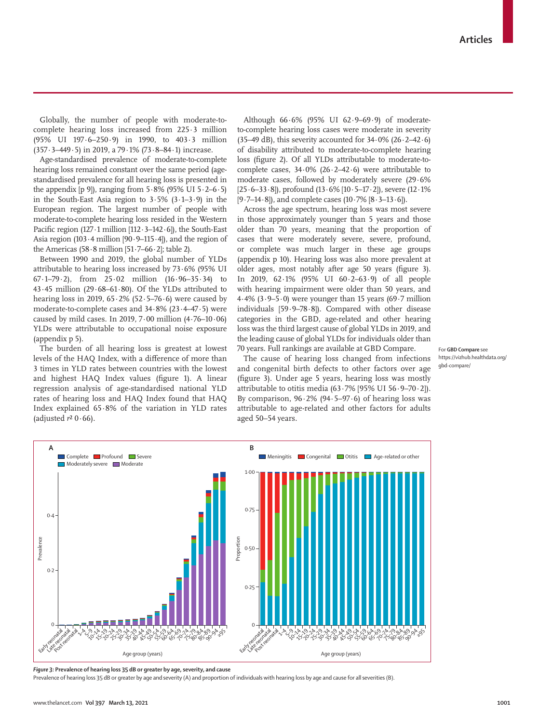Globally, the number of people with moderate-tocomplete hearing loss increased from 225·3 million (95% UI 197·6–250·9) in 1990, to 403·3 million (357·3–449·5) in 2019, a 79·1% (73·8–84·1) increase.

Age-standardised prevalence of moderate-to-complete hearing loss remained constant over the same period (agestandardised prevalence for all hearing loss is presented in the appendix [p 9]), ranging from  $5.8\%$  (95% UI  $5.2-6.5$ ) in the South-East Asia region to  $3.5\%$  ( $3.1-3.9$ ) in the European region. The largest number of people with moderate-to-complete hearing loss resided in the Western Pacific region (127 $\cdot$ 1 million [112 $\cdot$ 3-142 $\cdot$ 6]), the South-East Asia region (103 $\cdot$ 4 million [90 $\cdot$ 9-115 $\cdot$ 4]), and the region of the Americas (58 $\cdot$ 8 million [51 $\cdot$ 7–66 $\cdot$ 2]; table 2).

Between 1990 and 2019, the global number of YLDs attributable to hearing loss increased by  $73.6\%$  (95% UI 67·1–79·2), from 25·02 million (16·96–35·34) to 43 $-45$  million (29 $-68-61.80$ ). Of the YLDs attributed to hearing loss in 2019,  $65.2\%$  (52 $.5-76.6$ ) were caused by moderate-to-complete cases and 34·8% (23·4–47·5) were caused by mild cases. In 2019,  $7 \cdot 00$  million  $(4 \cdot 76 - 10 \cdot 06)$ YLDs were attributable to occupational noise exposure (appendix p 5).

The burden of all hearing loss is greatest at lowest levels of the HAQ Index, with a difference of more than 3 times in YLD rates between countries with the lowest and highest HAQ Index values (figure 1). A linear regression analysis of age-standardised national YLD rates of hearing loss and HAQ Index found that HAQ Index explained 65·8% of the variation in YLD rates (adjusted  $r^2$  0 $\cdot$  66).

Although 66·6% (95% UI 62·9–69·9) of moderateto-complete hearing loss cases were moderate in severity (35–49 dB), this severity accounted for  $34.0\%$  (26 $.2-42.6$ ) of disability attributed to moderate-to-complete hearing loss (figure 2). Of all YLDs attributable to moderate-tocomplete cases,  $34.0\%$  (26.2-42.6) were attributable to moderate cases, followed by moderately severe (29·6% [25·6–33·8]), profound (13·6% [10·5–17·2]), severe (12·1%  $[9.7–14.8]$ , and complete cases  $(10.7% [8.3–13.6]).$ 

Across the age spectrum, hearing loss was most severe in those approximately younger than 5 years and those older than 70 years, meaning that the proportion of cases that were moderately severe, severe, profound, or complete was much larger in these age groups (appendix p 10). Hearing loss was also more prevalent at older ages, most notably after age 50 years (figure 3). In 2019, 62·1% (95% UI 60·2–63·9) of all people with hearing impairment were older than 50 years, and 4.4% (3.9–5.0) were younger than 15 years (69.7 million individuals [59·9–78·8]). Compared with other disease categories in the GBD, age-related and other hearing loss was the third largest cause of global YLDs in 2019, and the leading cause of global YLDs for individuals older than 70 years. Full rankings are available at [GBD Compare.](https://vizhub.healthdata.org/gbd-compare/)

The cause of hearing loss changed from infections and congenital birth defects to other factors over age (figure 3). Under age 5 years, hearing loss was mostly attributable to otitis media  $(63.7\%$  [95% UI 56 $.9-70.2$ ]). By comparison,  $96.2\%$  (94.5–97.6) of hearing loss was attributable to age-related and other factors for adults aged 50–54 years.



For **GBD Compare** see



*Figure 3:* **Prevalence of hearing loss 35 dB or greater by age, severity, and cause**

Prevalence of hearing loss 35 dB or greater by age and severity (A) and proportion of individuals with hearing loss by age and cause for all severities (B).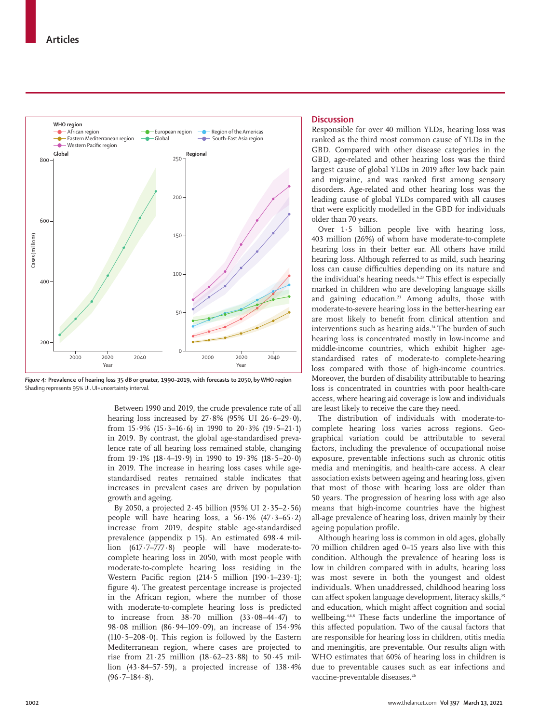

*Figure 4:* **Prevalence of hearing loss 35 dB or greater, 1990–2019, with forecasts to 2050, by WHO region** Shading represents 95% UI. UI=uncertainty interval.

Between 1990 and 2019, the crude prevalence rate of all hearing loss increased by  $27.8\%$  (95% UI  $26.6-29.0$ ), from  $15.9\%$  ( $15.3-16.6$ ) in 1990 to  $20.3\%$  ( $19.5-21.1$ ) in 2019. By contrast, the global age-standardised prevalence rate of all hearing loss remained stable, changing from  $19.1\%$  ( $18.4-19.9$ ) in 1990 to  $19.3\%$  ( $18.5-20.0$ ) in 2019. The increase in hearing loss cases while agestandardised reates remained stable indicates that increases in prevalent cases are driven by population growth and ageing.

By 2050, a projected 2·45 billion (95% UI 2·35–2·56) people will have hearing loss, a  $56.1\%$  (47.3–65.2) increase from 2019, despite stable age-standardised prevalence (appendix p 15). An estimated 698·4 million (617·7–777·8) people will have moderate-tocomplete hearing loss in 2050, with most people with moderate-to-complete hearing loss residing in the Western Pacific region (214·5 million [190·1–239·1]; figure 4). The greatest percentage increase is projected in the African region, where the number of those with moderate-to-complete hearing loss is predicted to increase from 38·70 million (33·08–44·47) to 98·08 million (86·94–109·09), an increase of 154·9% (110 $-5-208 \cdot 0$ ). This region is followed by the Eastern Mediterranean region, where cases are projected to rise from 21·25 million (18·62–23·88) to 50·45 million  $(43.84-57.59)$ , a projected increase of  $138.4%$  $(96.7-184.8)$ .

## **Discussion**

Responsible for over 40 million YLDs, hearing loss was ranked as the third most common cause of YLDs in the GBD. Compared with other disease categories in the GBD, age-related and other hearing loss was the third largest cause of global YLDs in 2019 after low back pain and migraine, and was ranked first among sensory disorders. Age-related and other hearing loss was the leading cause of global YLDs compared with all causes that were explicitly modelled in the GBD for individuals older than 70 years.

Over 1·5 billion people live with hearing loss, 403 million (26%) of whom have moderate-to-complete hearing loss in their better ear. All others have mild hearing loss. Although referred to as mild, such hearing loss can cause difficulties depending on its nature and the individual's hearing needs.<sup>6,23</sup> This effect is especially marked in children who are developing language skills and gaining education.<sup>23</sup> Among adults, those with moderate-to-severe hearing loss in the better-hearing ear are most likely to benefit from clinical attention and interventions such as hearing aids.<sup>24</sup> The burden of such hearing loss is concentrated mostly in low-income and middle-income countries, which exhibit higher agestandardised rates of moderate-to complete-hearing loss compared with those of high-income countries. Moreover, the burden of disability attributable to hearing loss is concentrated in countries with poor health-care access, where hearing aid coverage is low and individuals are least likely to receive the care they need.

The distribution of individuals with moderate-tocomplete hearing loss varies across regions. Geographical variation could be attributable to several factors, including the prevalence of occupational noise exposure, preventable infections such as chronic otitis media and meningitis, and health-care access. A clear association exists between ageing and hearing loss, given that most of those with hearing loss are older than 50 years. The progression of hearing loss with age also means that high-income countries have the highest all-age prevalence of hearing loss, driven mainly by their ageing population profile.

Although hearing loss is common in old ages, globally 70 million children aged 0–15 years also live with this condition. Although the prevalence of hearing loss is low in children compared with in adults, hearing loss was most severe in both the youngest and oldest individuals. When unaddressed, childhood hearing loss can affect spoken language development, literacy skills,<sup>25</sup> and education, which might affect cognition and social wellbeing.4,6,8 These facts underline the importance of this affected population. Two of the causal factors that are responsible for hearing loss in children, otitis media and meningitis, are preventable. Our results align with WHO estimates that 60% of hearing loss in children is due to preventable causes such as ear infections and vaccine-preventable diseases.<sup>26</sup>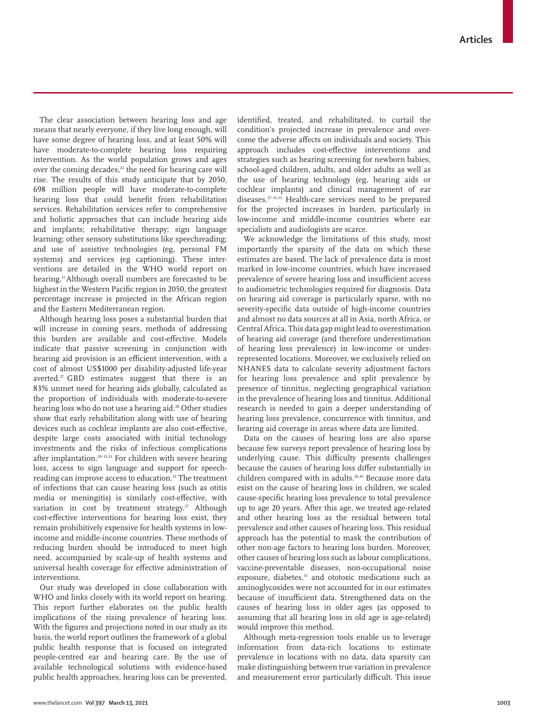The clear association between hearing loss and age means that nearly everyone, if they live long enough, will have some degree of hearing loss, and at least 50% will have moderate-to-complete hearing loss requiring intervention. As the world population grows and ages over the coming decades, $22$  the need for hearing care will rise. The results of this study anticipate that by 2050, 698 million people will have moderate-to-complete hearing loss that could benefit from rehabilitation services. Rehabilitation services refer to comprehensive and holistic approaches that can include hearing aids and implants; rehabilitative therapy; sign language learning; other sensory substitutions like speechreading; and use of assistive technologies (eg, personal FM systems) and services (eg captioning). These interventions are detailed in the WHO world report on hearing.<sup>11</sup> Although overall numbers are forecasted to be highest in the Western Pacific region in 2050, the greatest percentage increase is projected in the African region and the Eastern Mediterranean region.

Although hearing loss poses a substantial burden that will increase in coming years, methods of addressing this burden are available and cost-effective. Models indicate that passive screening in conjunction with hearing aid provision is an efficient intervention, with a cost of almost US\$1000 per disability-adjusted life-year averted.<sup>27</sup> GBD estimates suggest that there is an 83% unmet need for hearing aids globally, calculated as the proportion of individuals with moderate-to-severe hearing loss who do not use a hearing aid.<sup>28</sup> Other studies show that early rehabilitation along with use of hearing devices such as cochlear implants are also cost-effective, despite large costs associated with initial technology investments and the risks of infectious complications after implantation.<sup>29-31,33</sup> For children with severe hearing loss, access to sign language and support for speechreading can improve access to education.<sup>32</sup> The treatment of infections that can cause hearing loss (such as otitis media or meningitis) is similarly cost-effective, with variation in cost by treatment strategy.<sup>27</sup> Although cost-effective interventions for hearing loss exist, they remain prohibitively expensive for health systems in lowincome and middle-income countries. These methods of reducing burden should be introduced to meet high need, accompanied by scale-up of health systems and universal health coverage for effective administration of interventions.

Our study was developed in close collaboration with WHO and links closely with its world report on hearing. This report further elaborates on the public health implications of the rising prevalence of hearing loss. With the figures and projections noted in our study as its basis, the world report outlines the framework of a global public health response that is focused on integrated people-centred ear and hearing care. By the use of available technological solutions with evidence-based public health approaches, hearing loss can be prevented, identified, treated, and rehabilitated, to curtail the condition's projected increase in prevalence and overcome the adverse affects on individuals and society. This approach includes cost-effective interventions and strategies such as hearing screening for newborn babies, school-aged children, adults, and older adults as well as the use of hearing technology (eg, hearing aids or cochlear implants) and clinical management of ear diseases.27–31,33 Health-care services need to be prepared for the projected increases in burden, particularly in low-income and middle-income countries where ear specialists and audiologists are scarce.

We acknowledge the limitations of this study, most importantly the sparsity of the data on which these estimates are based. The lack of prevalence data is most marked in low-income countries, which have increased prevalence of severe hearing loss and insufficient access to audiometric technologies required for diagnosis. Data on hearing aid coverage is particularly sparse, with no severity-specific data outside of high-income countries and almost no data sources at all in Asia, north Africa, or Central Africa. This data gap might lead to overestimation of hearing aid coverage (and therefore underestimation of hearing loss prevalence) in low-income or underrepresented locations. Moreover, we exclusively relied on NHANES data to calculate severity adjustment factors for hearing loss prevalence and split prevalence by presence of tinnitus, neglecting geographical variation in the prevalence of hearing loss and tinnitus. Additional research is needed to gain a deeper understanding of hearing loss prevalence, concurrence with tinnitus, and hearing aid coverage in areas where data are limited.

Data on the causes of hearing loss are also sparse because few surveys report prevalence of hearing loss by underlying cause. This difficulty presents challenges because the causes of hearing loss differ substantially in children compared with in adults.26,34 Because more data exist on the cause of hearing loss in children, we scaled cause-specific hearing loss prevalence to total prevalence up to age 20 years. After this age, we treated age-related and other hearing loss as the residual between total prevalence and other causes of hearing loss. This residual approach has the potential to mask the contribution of other non-age factors to hearing loss burden. Moreover, other causes of hearing loss such as labour complications, vaccine-preventable diseases, non-occupational noise exposure, diabetes,<sup>35</sup> and ototoxic medications such as aminoglycosides were not accounted for in our estimates because of insufficient data. Strengthened data on the causes of hearing loss in older ages (as opposed to assuming that all hearing loss in old age is age-related) would improve this method.

Although meta-regression tools enable us to leverage information from data-rich locations to estimate prevalence in locations with no data, data sparsity can make distinguishing between true variation in prevalence and measurement error particularly difficult. This issue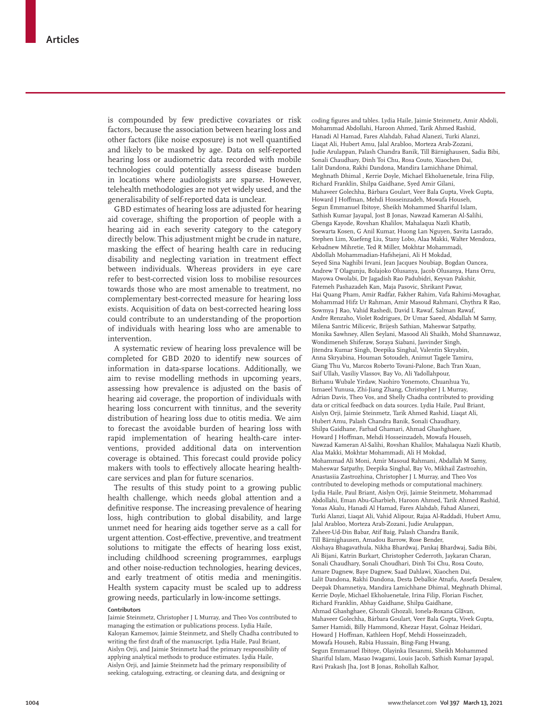is compounded by few predictive covariates or risk factors, because the association between hearing loss and other factors (like noise exposure) is not well quantified and likely to be masked by age. Data on self-reported hearing loss or audiometric data recorded with mobile technologies could potentially assess disease burden in locations where audiologists are sparse. However, telehealth methodologies are not yet widely used, and the generalisability of self-reported data is unclear.

GBD estimates of hearing loss are adjusted for hearing aid coverage, shifting the proportion of people with a hearing aid in each severity category to the category directly below. This adjustment might be crude in nature, masking the effect of hearing health care in reducing disability and neglecting variation in treatment effect between individuals. Whereas providers in eye care refer to best-corrected vision loss to mobilise resources towards those who are most amenable to treatment, no complementary best-corrected measure for hearing loss exists. Acquisition of data on best-corrected hearing loss could contribute to an understanding of the proportion of individuals with hearing loss who are amenable to intervention.

A systematic review of hearing loss prevalence will be completed for GBD 2020 to identify new sources of information in data-sparse locations. Additionally, we aim to revise modelling methods in upcoming years, assessing how prevalence is adjusted on the basis of hearing aid coverage, the proportion of individuals with hearing loss concurrent with tinnitus, and the severity distribution of hearing loss due to otitis media. We aim to forecast the avoidable burden of hearing loss with rapid implementation of hearing health-care interventions, provided additional data on intervention coverage is obtained. This forecast could provide policy makers with tools to effectively allocate hearing healthcare services and plan for future scenarios.

The results of this study point to a growing public health challenge, which needs global attention and a definitive response. The increasing prevalence of hearing loss, high contribution to global disability, and large unmet need for hearing aids together serve as a call for urgent attention. Cost-effective, preventive, and treatment solutions to mitigate the effects of hearing loss exist, including childhood screening programmes, earplugs and other noise-reduction technologies, hearing devices, and early treatment of otitis media and meningitis. Health system capacity must be scaled up to address growing needs, particularly in low-income settings.

## **Contributors**

Jaimie Steinmetz, Christopher J L Murray, and Theo Vos contributed to managing the estimation or publications process. Lydia Haile, Kaloyan Kamemov, Jaimie Steinmetz, and Shelly Chadha contributed to writing the first draft of the manuscript. Lydia Haile, Paul Briant, Aislyn Orji, and Jaimie Steinmetz had the primary responsibility of applying analytical methods to produce estimates. Lydia Haile, Aislyn Orji, and Jaimie Steinmetz had the primary responsibility of seeking, cataloguing, extracting, or cleaning data, and designing or

coding figures and tables. Lydia Haile, Jaimie Steinmetz, Amir Abdoli, Mohammad Abdollahi, Haroon Ahmed, Tarik Ahmed Rashid, Hanadi Al Hamad, Fares Alahdab, Fahad Alanezi, Turki Alanzi, Liaqat Ali, Hubert Amu, Jalal Arabloo, Morteza Arab-Zozani, Judie Arulappan, Palash Chandra Banik, Till Bärnighausen, Sadia Bibi, Sonali Chaudhary, Dinh Toi Chu, Rosa Couto, Xiaochen Dai, Lalit Dandona, Rakhi Dandona, Mandira Lamichhane Dhimal, Meghnath Dhimal , Kerrie Doyle, Michael Ekholuenetale, Irina Filip, Richard Franklin, Shilpa Gaidhane, Syed Amir Gilani, Mahaveer Golechha, Bárbara Goulart, Veer Bala Gupta, Vivek Gupta, Howard J Hoffman, Mehdi Hosseinzadeh, Mowafa Househ, Segun Emmanuel Ibitoye, Sheikh Mohammed Shariful Islam, Sathish Kumar Jayapal, Jost B Jonas, Nawzad Kameran Al-Salihi, Gbenga Kayode, Rovshan Khalilov, Mahalaqua Nazli Khatib, Soewarta Kosen, G Anil Kumar, Huong Lan Nguyen, Savita Lasrado, Stephen Lim, Xuefeng Liu, Stany Lobo, Alaa Makki, Walter Mendoza, Kebadnew Mihretie, Ted R Miller, Mokhtar Mohammadi, Abdollah Mohammadian-Hafshejani, Ali H Mokdad, Seyed Sina Naghibi Irvani, Jean Jacques Noubiap, Bogdan Oancea, Andrew T Olagunju, Bolajoko Olusanya, Jacob Olusanya, Hans Orru, Mayowa Owolabi, Dr Jagadish Rao Padubidri, Keyvan Pakshir, Fatemeh Pashazadeh Kan, Maja Pasovic, Shrikant Pawar, Hai Quang Pham, Amir Radfar, Fakher Rahim, Vafa Rahimi-Movaghar, Mohammad Hifz Ur Rahman, Amir Masoud Rahmani, Chythra R Rao, Sowmya J Rao, Vahid Rashedi, David L Rawaf, Salman Rawaf, Andre Renzaho, Violet Rodrigues, Dr Umar Saeed, Abdallah M Samy, Milena Santric Milicevic, Brijesh Sathian, Maheswar Satpathy, Monika Sawhney, Allen Seylani, Masood Ali Shaikh, Mohd Shannawaz, Wondimeneh Shiferaw, Soraya Siabani, Jasvinder Singh, Jitendra Kumar Singh, Deepika Singhal, Valentin Skryabin, Anna Skryabina, Houman Sotoudeh, Animut Tagele Tamiru, Giang Thu Vu, Marcos Roberto Tovani-Palone, Bach Tran Xuan, Saif Ullah, Vasiliy Vlassov, Bay Vo, Ali Yadollahpour, Birhanu Wubale Yirdaw, Naohiro Yonemoto, Chuanhua Yu, Ismaeel Yunusa, Zhi-Jiang Zhang, Christopher J L Murray, Adrian Davis, Theo Vos, and Shelly Chadha contributed to providing data or critical feedback on data sources. Lydia Haile, Paul Briant, Aislyn Orji, Jaimie Steinmetz, Tarik Ahmed Rashid, Liaqat Ali, Hubert Amu, Palash Chandra Banik, Sonali Chaudhary, Shilpa Gaidhane, Farhad Ghamari, Ahmad Ghashghaee, Howard J Hoffman, Mehdi Hosseinzadeh, Mowafa Househ, Nawzad Kameran Al-Salihi, Rovshan Khalilov, Mahalaqua Nazli Khatib, Alaa Makki, Mokhtar Mohammadi, Ali H Mokdad, Mohammad Ali Moni, Amir Masoud Rahmani, Abdallah M Samy, Maheswar Satpathy, Deepika Singhal, Bay Vo, Mikhail Zastrozhin, Anastasiia Zastrozhina, Christopher J L Murray, and Theo Vos contributed to developing methods or computational machinery. Lydia Haile, Paul Briant, Aislyn Orji, Jaimie Steinmetz, Mohammad Abdollahi, Eman Abu-Gharbieh, Haroon Ahmed, Tarik Ahmed Rashid, Yonas Akalu, Hanadi Al Hamad, Fares Alahdab, Fahad Alanezi, Turki Alanzi, Liaqat Ali, Vahid Alipour, Rajaa Al-Raddadi, Hubert Amu, Jalal Arabloo, Morteza Arab-Zozani, Judie Arulappan, Zaheer-Ud-Din Babar, Atif Baig, Palash Chandra Banik, Till Bärnighausen, Amadou Barrow, Rose Bender, Akshaya Bhagavathula, Nikha Bhardwaj, Pankaj Bhardwaj, Sadia Bibi, Ali Bijani, Katrin Burkart, Christopher Cederroth, Jaykaran Charan, Sonali Chaudhary, Sonali Choudhari, Dinh Toi Chu, Rosa Couto, Amare Dagnew, Baye Dagnew, Saad Dahlawi, Xiaochen Dai, Lalit Dandona, Rakhi Dandona, Desta Debalkie Atnafu, Assefa Desalew, Deepak Dhamnetiya, Mandira Lamichhane Dhimal, Meghnath Dhimal, Kerrie Doyle, Michael Ekholuenetale, Irina Filip, Florian Fischer, Richard Franklin, Abhay Gaidhane, Shilpa Gaidhane, Ahmad Ghashghaee, Ghozali Ghozali, Ionela-Roxana Glăvan, Mahaveer Golechha, Bárbara Goulart, Veer Bala Gupta, Vivek Gupta, Samer Hamidi, Billy Hammond, Khezar Hayat, Golnaz Heidari, Howard J Hoffman, Kathleen Hopf, Mehdi Hosseinzadeh, Mowafa Househ, Rabia Hussain, Bing-Fang Hwang, Segun Emmanuel Ibitoye, Olayinka Ilesanmi, Sheikh Mohammed Shariful Islam, Masao Iwagami, Louis Jacob, Sathish Kumar Jayapal, Ravi Prakash Jha, Jost B Jonas, Rohollah Kalhor,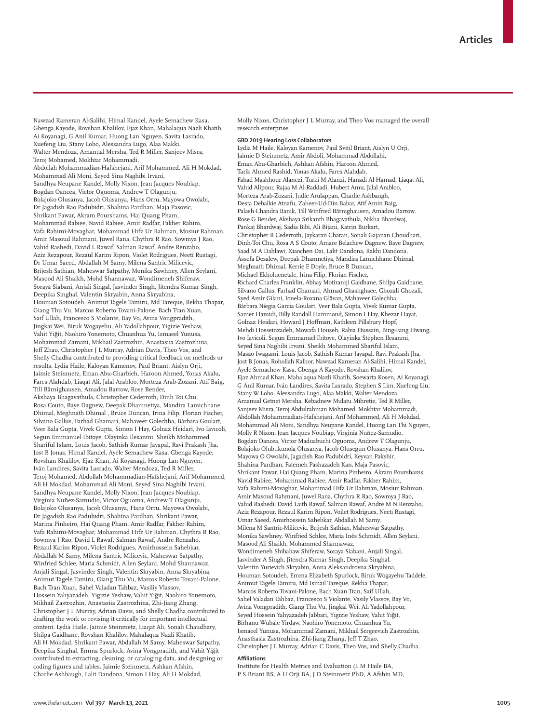Nawzad Kameran Al-Salihi, Himal Kandel, Ayele Semachew Kasa, Gbenga Kayode, Rovshan Khalilov, Ejaz Khan, Mahalaqua Nazli Khatib, Ai Koyanagi, G Anil Kumar, Huong Lan Nguyen, Savita Lasrado, Xuefeng Liu, Stany Lobo, Alessandra Lugo, Alaa Makki, Walter Mendoza, Amanual Mersha, Ted R Miller, Sanjeev Misra, Teroj Mohamed, Mokhtar Mohammadi, Abdollah Mohammadian-Hafshejani, Arif Mohammed, Ali H Mokdad, Mohammad Ali Moni, Seyed Sina Naghibi Irvani, Sandhya Neupane Kandel, Molly Nixon, Jean Jacques Noubiap, Bogdan Oancea, Victor Oguoma, Andrew T Olagunju, Bolajoko Olusanya, Jacob Olusanya, Hans Orru, Mayowa Owolabi, Dr Jagadish Rao Padubidri, Shahina Pardhan, Maja Pasovic, Shrikant Pawar, Akram Pourshams, Hai Quang Pham, Mohammad Rabiee, Navid Rabiee, Amir Radfar, Fakher Rahim, Vafa Rahimi-Movaghar, Mohammad Hifz Ur Rahman, Mosiur Rahman, Amir Masoud Rahmani, Juwel Rana, Chythra R Rao, Sowmya J Rao, Vahid Rashedi, David L Rawaf, Salman Rawaf, Andre Renzaho, Aziz Rezapour, Rezaul Karim Ripon, Violet Rodrigues, Neeti Rustagi, Dr Umar Saeed, Abdallah M Samy, Milena Santric Milicevic, Brijesh Sathian, Maheswar Satpathy, Monika Sawhney, Allen Seylani, Masood Ali Shaikh, Mohd Shannawaz, Wondimeneh Shiferaw, Soraya Siabani, Anjali Singal, Jasvinder Singh, Jitendra Kumar Singh, Deepika Singhal, Valentin Skryabin, Anna Skryabina, Houman Sotoudeh, Animut Tagele Tamiru, Md Tareque, Rekha Thapar, Giang Thu Vu, Marcos Roberto Tovani-Palone, Bach Tran Xuan, Saif Ullah, Francesco S Violante, Bay Vo, Avina Vongpradith, Jingkai Wei, Biruk Wogayehu, Ali Yadollahpour, Yigizie Yeshaw, Vahit Yiğit, Naohiro Yonemoto, Chuanhua Yu, Ismaeel Yunusa, Mohammad Zamani, Mikhail Zastrozhin, Anastasiia Zastrozhina, Jeff Zhao, Christopher J L Murray, Adrian Davis, Theo Vos, and Shelly Chadha contributed to providing critical feedback on methods or results. Lydia Haile, Kaloyan Kamenov, Paul Briant, Aislyn Orji, Jaimie Steinmetz, Eman Abu-Gharbieh, Haroon Ahmed, Yonas Akalu, Fares Alahdab, Liaqat Ali, Jalal Arabloo, Morteza Arab-Zozani, Atif Baig, Till Bärnighausen, Amadou Barrow, Rose Bender, Akshaya Bhagavathula, Christopher Cederroth, Dinh Toi Chu, Rosa Couto, Baye Dagnew, Deepak Dhamnetiya, Mandira Lamichhane Dhimal, Meghnath Dhimal , Bruce Duncan, Irina Filip, Florian Fischer, Silvano Gallus, Farhad Ghamari, Mahaveer Golechha, Bárbara Goulart, Veer Bala Gupta, Vivek Gupta, Simon I Hay, Golnaz Heidari, Ivo Iavicoli, Segun Emmanuel Ibitoye, Olayinka Ilesanmi, Sheikh Mohammed Shariful Islam, Louis Jacob, Sathish Kumar Jayapal, Ravi Prakash Jha, Jost B Jonas, Himal Kandel, Ayele Semachew Kasa, Gbenga Kayode, Rovshan Khalilov, Ejaz Khan, Ai Koyanagi, Huong Lan Nguyen, Iván Landires, Savita Lasrado, Walter Mendoza, Ted R Miller, Teroj Mohamed, Abdollah Mohammadian-Hafshejani, Arif Mohammed, Ali H Mokdad, Mohammad Ali Moni, Seyed Sina Naghibi Irvani, Sandhya Neupane Kandel, Molly Nixon, Jean Jacques Noubiap, Virginia Nuñez-Samudio, Victor Oguoma, Andrew T Olagunju, Bolajoko Olusanya, Jacob Olusanya, Hans Orru, Mayowa Owolabi, Dr Jagadish Rao Padubidri, Shahina Pardhan, Shrikant Pawar, Marina Pinheiro, Hai Quang Pham, Amir Radfar, Fakher Rahim, Vafa Rahimi-Movaghar, Mohammad Hifz Ur Rahman, Chythra R Rao, Sowmya J Rao, David L Rawaf, Salman Rawaf, Andre Renzaho, Rezaul Karim Ripon, Violet Rodrigues, Amirhossein Sahebkar, Abdallah M Samy, Milena Santric Milicevic, Maheswar Satpathy, Winfried Schlee, Maria Schmidt, Allen Seylani, Mohd Shannawaz, Anjali Singal, Jasvinder Singh, Valentin Skryabin, Anna Skryabina, Animut Tagele Tamiru, Giang Thu Vu, Marcos Roberto Tovani-Palone, Bach Tran Xuan, Sahel Valadan Tahbaz, Vasiliy Vlassov, Hossein Yahyazadeh, Yigizie Yeshaw, Vahit Yiğit, Naohiro Yonemoto, Mikhail Zastrozhin, Anastasiia Zastrozhina, Zhi-Jiang Zhang, Christopher J L Murray, Adrian Davis, and Shelly Chadha contributed to drafting the work or revising it critically for important intellectual content. Lydia Haile, Jaimie Steinmetz, Liaqat Ali, Sonali Chaudhary, Shilpa Gaidhane, Rovshan Khalilov, Mahalaqua Nazli Khatib, Ali H Mokdad, Shrikant Pawar, Abdallah M Samy, Maheswar Satpathy, Deepika Singhal, Emma Spurlock, Avina Vongpradith, and Vahit Yiğit contributed to extracting, cleaning, or cataloging data, and designing or coding figures and tables. Jaimie Steinmetz, Ashkan Afshin, Charlie Ashbaugh, Lalit Dandona, Simon I Hay, Ali H Mokdad,

Molly Nixon, Christopher J L Murray, and Theo Vos managed the overall research enterprise.

#### **GBD 2019 Hearing Loss Collaborators**

Lydia M Haile, Kaloyan Kamenov, Paul Svitil Briant, Aislyn U Orji, Jaimie D Steinmetz, Amir Abdoli, Mohammad Abdollahi, Eman Abu-Gharbieh, Ashkan Afshin, Haroon Ahmed, Tarik Ahmed Rashid, Yonas Akalu, Fares Alahdab, Fahad Mashhour Alanezi, Turki M Alanzi, Hanadi Al Hamad, Liaqat Ali, Vahid Alipour, Rajaa M Al-Raddadi, Hubert Amu, Jalal Arabloo, Morteza Arab-Zozani, Judie Arulappan, Charlie Ashbaugh, Desta Debalkie Atnafu, Zaheer-Ud-Din Babar, Atif Amin Baig, Palash Chandra Banik, Till Winfried Bärnighausen, Amadou Barrow, Rose G Bender, Akshaya Srikanth Bhagavathula, Nikha Bhardwaj, Pankaj Bhardwaj, Sadia Bibi, Ali Bijani, Katrin Burkart, Christopher R Cederroth, Jaykaran Charan, Sonali Gajanan Choudhari, Dinh-Toi Chu, Rosa A S Couto, Amare Belachew Dagnew, Baye Dagnew, Saad M A Dahlawi, Xiaochen Dai, Lalit Dandona, Rakhi Dandona, Assefa Desalew, Deepak Dhamnetiya, Mandira Lamichhane Dhimal, Meghnath Dhimal, Kerrie E Doyle, Bruce B Duncan, Michael Ekholuenetale, Irina Filip, Florian Fischer, Richard Charles Franklin, Abhay Motiramji Gaidhane, Shilpa Gaidhane, Silvano Gallus, Farhad Ghamari, Ahmad Ghashghaee, Ghozali Ghozali, Syed Amir Gilani, Ionela-Roxana Glăvan, Mahaveer Golechha, Bárbara Niegia Garcia Goulart, Veer Bala Gupta, Vivek Kumar Gupta, Samer Hamidi, Billy Randall Hammond, Simon I Hay, Khezar Hayat, Golnaz Heidari, Howard J Hoffman, Kathleen Pillsbury Hopf, Mehdi Hosseinzadeh, Mowafa Househ, Rabia Hussain, Bing-Fang Hwang, Ivo Iavicoli, Segun Emmanuel Ibitoye, Olayinka Stephen Ilesanmi, Seyed Sina Naghibi Irvani, Sheikh Mohammed Shariful Islam, Masao Iwagami, Louis Jacob, Sathish Kumar Jayapal, Ravi Prakash Jha, Jost B Jonas, Rohollah Kalhor, Nawzad Kameran Al-Salihi, Himal Kandel, Ayele Semachew Kasa, Gbenga A Kayode, Rovshan Khalilov, Ejaz Ahmad Khan, Mahalaqua Nazli Khatib, Soewarta Kosen, Ai Koyanagi, G Anil Kumar, Iván Landires, Savita Lasrado, Stephen S Lim, Xuefeng Liu, Stany W Lobo, Alessandra Lugo, Alaa Makki, Walter Mendoza, Amanual Getnet Mersha, Kebadnew Mulatu Mihretie, Ted R Miller, Sanjeev Misra, Teroj Abdulrahman Mohamed, Mokhtar Mohammadi, Abdollah Mohammadian-Hafshejani, Arif Mohammed, Ali H Mokdad, Mohammad Ali Moni, Sandhya Neupane Kandel, Huong Lan Thi Nguyen, Molly R Nixon, Jean Jacques Noubiap, Virginia Nuñez-Samudio, Bogdan Oancea, Victor Maduabuchi Oguoma, Andrew T Olagunju, Bolajoko Olubukunola Olusanya, Jacob Olusegun Olusanya, Hans Orru, Mayowa O Owolabi, Jagadish Rao Padubidri, Keyvan Pakshir, Shahina Pardhan, Fatemeh Pashazadeh Kan, Maja Pasovic, Shrikant Pawar, Hai Quang Pham, Marina Pinheiro, Akram Pourshams, Navid Rabiee, Mohammad Rabiee, Amir Radfar, Fakher Rahim, Vafa Rahimi-Movaghar, Mohammad Hifz Ur Rahman, Mosiur Rahman, Amir Masoud Rahmani, Juwel Rana, Chythra R Rao, Sowmya J Rao, Vahid Rashedi, David Laith Rawaf, Salman Rawaf, Andre M N Renzaho, Aziz Rezapour, Rezaul Karim Ripon, Voilet Rodrigues, Neeti Rustagi, Umar Saeed, Amirhossein Sahebkar, Abdallah M Samy, Milena M Santric-Milicevic, Brijesh Sathian, Maheswar Satpathy, Monika Sawhney, Winfried Schlee, Maria Inês Schmidt, Allen Seylani, Masood Ali Shaikh, Mohammed Shannawaz, Wondimeneh Shibabaw Shiferaw, Soraya Siabani, Anjali Singal, Jasvinder A Singh, Jitendra Kumar Singh, Deepika Singhal, Valentin Yurievich Skryabin, Anna Aleksandrovna Skryabina, Houman Sotoudeh, Emma Elizabeth Spurlock, Biruk Wogayehu Taddele, Animut Tagele Tamiru, Md Ismail Tareque, Rekha Thapar, Marcos Roberto Tovani-Palone, Bach Xuan Tran, Saif Ullah, Sahel Valadan Tahbaz, Francesco S Violante, Vasily Vlassov, Bay Vo, Avina Vongpradith, Giang Thu Vu, Jingkai Wei, Ali Yadollahpour, Seyed Hossein Yahyazadeh Jabbari, Yigizie Yeshaw, Vahit Yiğit, Birhanu Wubale Yirdaw, Naohiro Yonemoto, Chuanhua Yu, Ismaeel Yunusa, Mohammad Zamani, Mikhail Sergeevich Zastrozhin, Anasthasia Zastrozhina, Zhi-Jiang Zhang, Jeff T Zhao, Christopher J L Murray, Adrian C Davis, Theo Vos, and Shelly Chadha.

#### **Affiliations**

Institute for Health Metrics and Evaluation (L M Haile BA, P S Briant BS, A U Orji BA, J D Steinmetz PhD, A Afshin MD,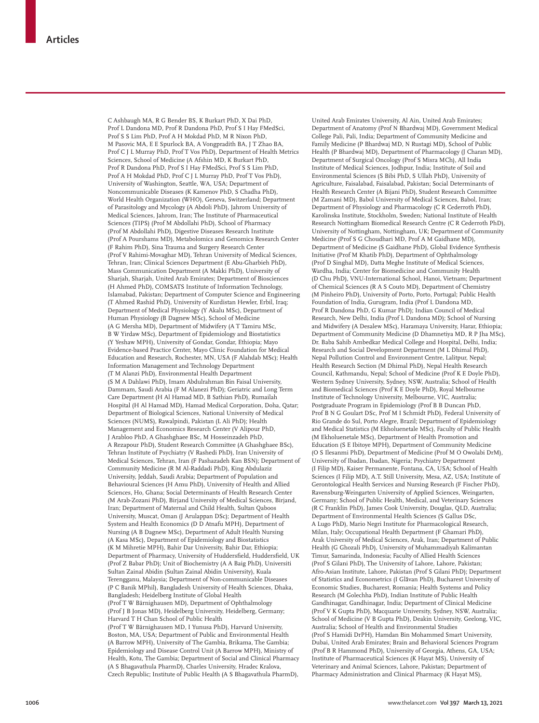C Ashbaugh MA, R G Bender BS, K Burkart PhD, X Dai PhD, Prof L Dandona MD, Prof R Dandona PhD, Prof S I Hay FMedSci, Prof S S Lim PhD, Prof A H Mokdad PhD, M R Nixon PhD, M Pasovic MA, E E Spurlock BA, A Vongpradith BA, J T Zhao BA, Prof C J L Murray PhD, Prof T Vos PhD), Department of Health Metrics Sciences, School of Medicine (A Afshin MD, K Burkart PhD, Prof R Dandona PhD, Prof S I Hay FMedSci, Prof S S Lim PhD, Prof A H Mokdad PhD, Prof C J L Murray PhD, Prof T Vos PhD), University of Washington, Seattle, WA, USA; Department of Noncommunicable Diseases (K Kamenov PhD, S Chadha PhD), World Health Organization (WHO), Geneva, Switzerland; Department of Parasitology and Mycology (A Abdoli PhD), Jahrom University of Medical Sciences, Jahrom, Iran; The Institute of Pharmaceutical Sciences (TIPS) (Prof M Abdollahi PhD), School of Pharmacy (Prof M Abdollahi PhD), Digestive Diseases Research Institute (Prof A Pourshams MD), Metabolomics and Genomics Research Center (F Rahim PhD), Sina Trauma and Surgery Research Center (Prof V Rahimi-Movaghar MD), Tehran University of Medical Sciences, Tehran, Iran; Clinical Sciences Department (E Abu-Gharbieh PhD), Mass Communication Department (A Makki PhD), University of Sharjah, Sharjah, United Arab Emirates; Department of Biosciences (H Ahmed PhD), COMSATS Institute of Information Technology, Islamabad, Pakistan; Department of Computer Science and Engineering (T Ahmed Rashid PhD), University of Kurdistan Hewler, Erbil, Iraq; Department of Medical Physiology (Y Akalu MSc), Department of Human Physiology (B Dagnew MSc), School of Medicine (A G Mersha MD), Department of Midwifery (A T Tamiru MSc, B W Yirdaw MSc), Department of Epidemiology and Biostatistics (Y Yeshaw MPH), University of Gondar, Gondar, Ethiopia; Mayo Evidence-based Practice Center, Mayo Clinic Foundation for Medical Education and Research, Rochester, MN, USA (F Alahdab MSc); Health Information Management and Technology Department (T M Alanzi PhD), Environmental Health Department (S M A Dahlawi PhD), Imam Abdulrahman Bin Faisal University, Dammam, Saudi Arabia (F M Alanezi PhD); Geriatric and Long Term Care Department (H Al Hamad MD, B Sathian PhD), Rumailah Hospital (H Al Hamad MD), Hamad Medical Corporation, Doha, Qatar; Department of Biological Sciences, National University of Medical Sciences (NUMS), Rawalpindi, Pakistan (L Ali PhD); Health Management and Economics Research Center (V Alipour PhD, J Arabloo PhD, A Ghashghaee BSc, M Hosseinzadeh PhD, A Rezapour PhD), Student Research Committee (A Ghashghaee BSc), Tehran Institute of Psychiatry (V Rashedi PhD), Iran University of Medical Sciences, Tehran, Iran (F Pashazadeh Kan BSN); Department of Community Medicine (R M Al-Raddadi PhD), King Abdulaziz University, Jeddah, Saudi Arabia; Department of Population and Behavioural Sciences (H Amu PhD), University of Health and Allied Sciences, Ho, Ghana; Social Determinants of Health Research Center (M Arab-Zozani PhD), Birjand University of Medical Sciences, Birjand, Iran; Department of Maternal and Child Health, Sultan Qaboos University, Muscat, Oman (J Arulappan DSc); Department of Health System and Health Economics (D D Atnafu MPH), Department of Nursing (A B Dagnew MSc), Department of Adult Health Nursing (A Kasa MSc), Department of Epidemiology and Biostatistics (K M Mihretie MPH), Bahir Dar University, Bahir Dar, Ethiopia; Department of Pharmacy, University of Huddersfield, Huddersfield, UK (Prof Z Babar PhD); Unit of Biochemistry (A A Baig PhD), Universiti Sultan Zainal Abidin (Sultan Zainal Abidin University), Kuala Terengganu, Malaysia; Department of Non-communicable Diseases (P C Banik MPhil), Bangladesh University of Health Sciences, Dhaka, Bangladesh; Heidelberg Institute of Global Health (Prof T W Bärnighausen MD), Department of Ophthalmology (Prof J B Jonas MD), Heidelberg University, Heidelberg, Germany; Harvard T H Chan School of Public Health (Prof T W Bärnighausen MD, I Yunusa PhD), Harvard University, Boston, MA, USA; Department of Public and Environmental Health (A Barrow MPH), University of The Gambia, Brikama, The Gambia; Epidemiology and Disease Control Unit (A Barrow MPH), Ministry of Health, Kotu, The Gambia; Department of Social and Clinical Pharmacy (A S Bhagavathula PharmD), Charles University, Hradec Kralova,

Czech Republic; Institute of Public Health (A S Bhagavathula PharmD),

United Arab Emirates University, Al Ain, United Arab Emirates; Department of Anatomy (Prof N Bhardwaj MD), Government Medical College Pali, Pali, India; Department of Community Medicine and Family Medicine (P Bhardwaj MD, N Rustagi MD), School of Public Health (P Bhardwaj MD), Department of Pharmacology (J Charan MD), Department of Surgical Oncology (Prof S Misra MCh), All India Institute of Medical Sciences, Jodhpur, India; Institute of Soil and Environmental Sciences (S Bibi PhD, S Ullah PhD), University of Agriculture, Faisalabad, Faisalabad, Pakistan; Social Determinants of Health Research Center (A Bijani PhD), Student Research Committee (M Zamani MD), Babol University of Medical Sciences, Babol, Iran; Department of Physiology and Pharmacology (C R Cederroth PhD), Karolinska Institute, Stockholm, Sweden; National Institute of Health Research Nottingham Biomedical Research Centre (C R Cederroth PhD), University of Nottingham, Nottingham, UK; Department of Community Medicine (Prof S G Choudhari MD, Prof A M Gaidhane MD), Department of Medicine (S Gaidhane PhD), Global Evidence Synthesis Initiative (Prof M Khatib PhD), Department of Ophthalmology (Prof D Singhal MD), Datta Meghe Institute of Medical Sciences, Wardha, India; Center for Biomedicine and Community Health (D Chu PhD), VNU-International School, Hanoi, Vietnam; Department of Chemical Sciences (R A S Couto MD), Department of Chemistry (M Pinheiro PhD), University of Porto, Porto, Portugal; Public Health Foundation of India, Gurugram, India (Prof L Dandona MD, Prof R Dandona PhD, G Kumar PhD); Indian Council of Medical Research, New Delhi, India (Prof L Dandona MD); School of Nursing and Midwifery (A Desalew MSc), Haramaya University, Harar, Ethiopia; Department of Community Medicine (D Dhamnetiya MD, R P Jha MSc), Dr. Baba Sahib Ambedkar Medical College and Hospital, Delhi, India; Research and Social Development Department (M L Dhimal PhD), Nepal Pollution Control and Environment Centre, Lalitpur, Nepal; Health Research Section (M Dhimal PhD), Nepal Health Research Council, Kathmandu, Nepal; School of Medicine (Prof K E Doyle PhD), Western Sydney University, Sydney, NSW, Australia; School of Health and Biomedical Sciences (Prof K E Doyle PhD), Royal Melbourne Institute of Technology University, Melbourne, VIC, Australia; Postgraduate Program in Epidemiology (Prof B B Duncan PhD, Prof B N G Goulart DSc, Prof M I Schmidt PhD), Federal University of Rio Grande do Sul, Porto Alegre, Brazil; Department of Epidemiology and Medical Statistics (M Ekholuenetale MSc), Faculty of Public Health (M Ekholuenetale MSc), Department of Health Promotion and Education (S E Ibitoye MPH), Department of Community Medicine (O S Ilesanmi PhD), Department of Medicine (Prof M O Owolabi DrM), University of Ibadan, Ibadan, Nigeria; Psychiatry Department (I Filip MD), Kaiser Permanente, Fontana, CA, USA; School of Health Sciences (I Filip MD), A.T. Still University, Mesa, AZ, USA; Institute of Gerontological Health Services and Nursing Research (F Fischer PhD), Ravensburg-Weingarten University of Applied Sciences, Weingarten, Germany; School of Public Health, Medical, and Veterinary Sciences (R C Franklin PhD), James Cook University, Douglas, QLD, Australia; Department of Environmental Health Sciences (S Gallus DSc, A Lugo PhD), Mario Negri Institute for Pharmacological Research, Milan, Italy; Occupational Health Department (F Ghamari PhD), Arak University of Medical Sciences, Arak, Iran; Department of Public Health (G Ghozali PhD), University of Muhammadiyah Kalimantan Timur, Samarinda, Indonesia; Faculty of Allied Health Sciences (Prof S Gilani PhD), The University of Lahore, Lahore, Pakistan; Afro-Asian Institute, Lahore, Pakistan (Prof S Gilani PhD); Department of Statistics and Econometrics (I Glăvan PhD), Bucharest University of Economic Studies, Bucharest, Romania; Health Systems and Policy Research (M Golechha PhD), Indian Institute of Public Health Gandhinagar, Gandhinagar, India; Department of Clinical Medicine (Prof V K Gupta PhD), Macquarie University, Sydney, NSW, Australia; School of Medicine (V B Gupta PhD), Deakin University, Geelong, VIC, Australia; School of Health and Environmental Studies (Prof S Hamidi DrPH), Hamdan Bin Mohammed Smart University, Dubai, United Arab Emirates; Brain and Behavioral Sciences Program (Prof B R Hammond PhD), University of Georgia, Athens, GA, USA; Institute of Pharmaceutical Sciences (K Hayat MS), University of Veterinary and Animal Sciences, Lahore, Pakistan; Department of Pharmacy Administration and Clinical Pharmacy (K Hayat MS),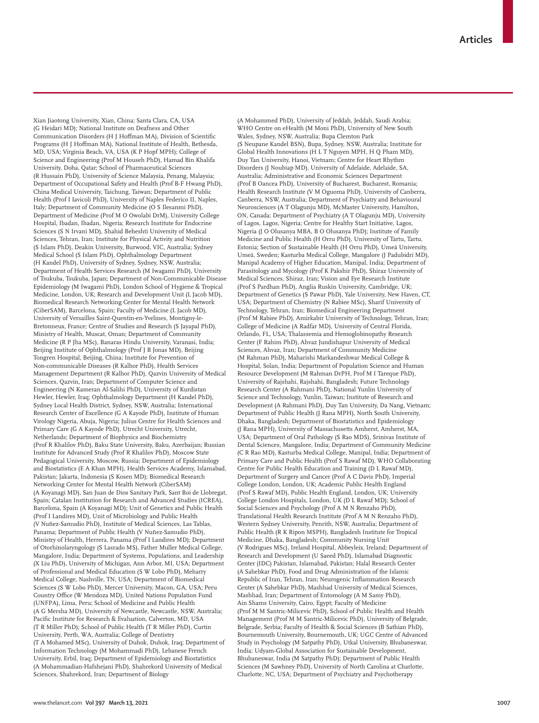Xian Jiaotong University, Xian, China; Santa Clara, CA, USA (G Heidari MD); National Institute on Deafness and Other Communication Disorders (H J Hoffman MA), Division of Scientific Programs (H J Hoffman MA), National Institute of Health, Bethesda, MD, USA; Virginia Beach, VA, USA (K P Hopf MPH); College of Science and Engineering (Prof M Househ PhD), Hamad Bin Khalifa University, Doha, Qatar; School of Pharmaceutical Sciences (R Hussain PhD), University of Science Malaysia, Penang, Malaysia; Department of Occupational Safety and Health (Prof B-F Hwang PhD), China Medical University, Taichung, Taiwan; Department of Public Health (Prof I Iavicoli PhD), University of Naples Federico II, Naples, Italy; Department of Community Medicine (O S Ilesanmi PhD), Department of Medicine (Prof M O Owolabi DrM), University College Hospital, Ibadan, Ibadan, Nigeria; Research Institute for Endocrine Sciences (S N Irvani MD), Shahid Beheshti University of Medical Sciences, Tehran, Iran; Institute for Physical Activity and Nutrition (S Islam PhD), Deakin University, Burwood, VIC, Australia; Sydney Medical School (S Islam PhD), Ophthalmology Department (H Kandel PhD), University of Sydney, Sydney, NSW, Australia; Department of Health Services Research (M Iwagami PhD), University of Tsukuba, Tsukuba, Japan; Department of Non-Communicable Disease Epidemiology (M Iwagami PhD), London School of Hygiene & Tropical Medicine, London, UK; Research and Development Unit (L Jacob MD), Biomedical Research Networking Center for Mental Health Network (CiberSAM), Barcelona, Spain; Faculty of Medicine (L Jacob MD), University of Versailles Saint-Quentin-en-Yvelines, Montigny-le-Bretonneux, France; Centre of Studies and Research (S Jayapal PhD), Ministry of Health, Muscat, Oman; Department of Community Medicine (R P Jha MSc), Banaras Hindu University, Varanasi, India; Beijing Institute of Ophthalmology (Prof J B Jonas MD), Beijing Tongren Hospital, Beijing, China; Institute for Prevention of Non-communicable Diseases (R Kalhor PhD), Health Services Management Department (R Kalhor PhD), Qazvin University of Medical Sciences, Qazvin, Iran; Department of Computer Science and Engineering (N Kameran Al-Salihi PhD), University of Kurdistan Hewler, Hewler, Iraq; Ophthalmology Department (H Kandel PhD), Sydney Local Health District, Sydney, NSW, Australia; International Research Center of Excellence (G A Kayode PhD), Institute of Human Virology Nigeria, Abuja, Nigeria; Julius Centre for Health Sciences and Primary Care (G A Kayode PhD), Utrecht University, Utrecht, Netherlands; Department of Biophysics and Biochemistry (Prof R Khalilov PhD), Baku State University, Baku, Azerbaijan; Russian Institute for Advanced Study (Prof R Khalilov PhD), Moscow State Pedagogical University, Moscow, Russia; Department of Epidemiology and Biostatistics (E A Khan MPH), Health Services Academy, Islamabad, Pakistan; Jakarta, Indonesia (S Kosen MD); Biomedical Research Networking Center for Mental Health Network (CiberSAM) (A Koyanagi MD), San Juan de Dios Sanitary Park, Sant Boi de Llobregat, Spain; Catalan Institution for Research and Advanced Studies (ICREA), Barcelona, Spain (A Koyanagi MD); Unit of Genetics and Public Health (Prof I Landires MD), Unit of Microbiology and Public Health (V Nuñez-Samudio PhD), Institute of Medical Sciences, Las Tablas, Panama; Department of Public Health (V Nuñez-Samudio PhD), Ministry of Health, Herrera, Panama (Prof I Landires MD); Department of Otorhinolaryngology (S Lasrado MS), Father Muller Medical College, Mangalore, India; Department of Systems, Populations, and Leadership (X Liu PhD), University of Michigan, Ann Arbor, MI, USA; Department of Professional and Medical Education (S W Lobo PhD), Meharry Medical College, Nashville, TN, USA; Department of Biomedical Sciences (S W Lobo PhD), Mercer University, Macon, GA, USA; Peru Country Office (W Mendoza MD), United Nations Population Fund (UNFPA), Lima, Peru; School of Medicine and Public Health (A G Mersha MD), University of Newcastle, Newcastle, NSW, Australia; Pacific Institute for Research & Evaluation, Calverton, MD, USA (T R Miller PhD); School of Public Health (T R Miller PhD), Curtin University, Perth, WA, Australia; College of Dentistry (T A Mohamed MSc), University of Duhok, Duhok, Iraq; Department of Information Technology (M Mohammadi PhD), Lebanese French University, Erbil, Iraq; Department of Epidemiology and Biostatistics (A Mohammadian-Hafshejani PhD), Shahrekord University of Medical Sciences, Shahrekord, Iran; Department of Biology

(A Mohammed PhD), University of Jeddah, Jeddah, Saudi Arabia; WHO Centre on eHealth (M Moni PhD), University of New South Wales, Sydney, NSW, Australia; Bupa Clemton Park (S Neupane Kandel BSN), Bupa, Sydney, NSW, Australia; Institute for Global Health Innovations (H L T Nguyen MPH, H Q Pham MD), Duy Tan University, Hanoi, Vietnam; Centre for Heart Rhythm Disorders (J Noubiap MD), University of Adelaide, Adelaide, SA, Australia; Administrative and Economic Sciences Department (Prof B Oancea PhD), University of Bucharest, Bucharest, Romania; Health Research Institute (V M Oguoma PhD), University of Canberra, Canberra, NSW, Australia; Department of Psychiatry and Behavioural Neurosciences (A T Olagunju MD), McMaster University, Hamilton, ON, Canada; Department of Psychiatry (A T Olagunju MD), University of Lagos, Lagos, Nigeria; Centre for Healthy Start Initiative, Lagos, Nigeria (J O Olusanya MBA, B O Olusanya PhD); Institute of Family Medicine and Public Health (H Orru PhD), University of Tartu, Tartu, Estonia; Section of Sustainable Health (H Orru PhD), Umeå University, Umeå, Sweden; Kasturba Medical College, Mangalore (J Padubidri MD), Manipal Academy of Higher Education, Manipal, India; Department of Parasitology and Mycology (Prof K Pakshir PhD), Shiraz University of Medical Sciences, Shiraz, Iran; Vision and Eye Research Institute (Prof S Pardhan PhD), Anglia Ruskin University, Cambridge, UK; Department of Genetics (S Pawar PhD), Yale University, New Haven, CT, USA; Department of Chemistry (N Rabiee MSc), Sharif University of Technology, Tehran, Iran; Biomedical Engineering Department (Prof M Rabiee PhD), Amirkabir University of Technology, Tehran, Iran; College of Medicine (A Radfar MD), University of Central Florida, Orlando, FL, USA; Thalassemia and Hemoglobinopathy Research Center (F Rahim PhD), Ahvaz Jundishapur University of Medical Sciences, Ahvaz, Iran; Department of Community Medicine (M Rahman PhD), Maharishi Markandeshwar Medical College & Hospital, Solan, India; Department of Population Science and Human Resource Development (M Rahman DrPH, Prof M I Tareque PhD), University of Rajshahi, Rajshahi, Bangladesh; Future Technology Research Center (A Rahmani PhD), National Yunlin University of Science and Technology, Yunlin, Taiwan; Institute of Research and Development (A Rahmani PhD), Duy Tan University, Da Nang, Vietnam; Department of Public Health (J Rana MPH), North South University, Dhaka, Bangladesh; Department of Biostatistics and Epidemiology (J Rana MPH), University of Massachusetts Amherst, Amherst, MA, USA; Department of Oral Pathology (S Rao MDS), Srinivas Institute of Dental Sciences, Mangalore, India; Department of Community Medicine (C R Rao MD), Kasturba Medical College, Manipal, India; Department of Primary Care and Public Health (Prof S Rawaf MD), WHO Collaborating Centre for Public Health Education and Training (D L Rawaf MD), Department of Surgery and Cancer (Prof A C Davis PhD), Imperial College London, London, UK; Academic Public Health England (Prof S Rawaf MD), Public Health England, London, UK; University College London Hospitals, London, UK (D L Rawaf MD); School of Social Sciences and Psychology (Prof A M N Renzaho PhD), Translational Health Research Institute (Prof A M N Renzaho PhD), Western Sydney University, Penrith, NSW, Australia; Department of Public Health (R K Ripon MSPH), Bangladesh Institute for Tropical Medicine, Dhaka, Bangladesh; Community Nursing Unit (V Rodrigues MSc), Ireland Hospital, Abbeyleix, Ireland; Department of Research and Development (U Saeed PhD), Islamabad Diagnostic Center (IDC) Pakistan, Islamabad, Pakistan; Halal Research Center (A Sahebkar PhD), Food and Drug Administration of the Islamic Republic of Iran, Tehran, Iran; Neurogenic Inflammation Research Center (A Sahebkar PhD), Mashhad University of Medical Sciences, Mashhad, Iran; Department of Entomology (A M Samy PhD), Ain Shams University, Cairo, Egypt; Faculty of Medicine (Prof M M Santric-Milicevic PhD), School of Public Health and Health Management (Prof M M Santric-Milicevic PhD), University of Belgrade, Belgrade, Serbia; Faculty of Health & Social Sciences (B Sathian PhD), Bournemouth University, Bournemouth, UK; UGC Centre of Advanced Study in Psychology (M Satpathy PhD), Utkal University, Bhubaneswar, India; Udyam-Global Association for Sustainable Development, Bhubaneswar, India (M Satpathy PhD); Department of Public Health Sciences (M Sawhney PhD), University of North Carolina at Charlotte, Charlotte, NC, USA; Department of Psychiatry and Psychotherapy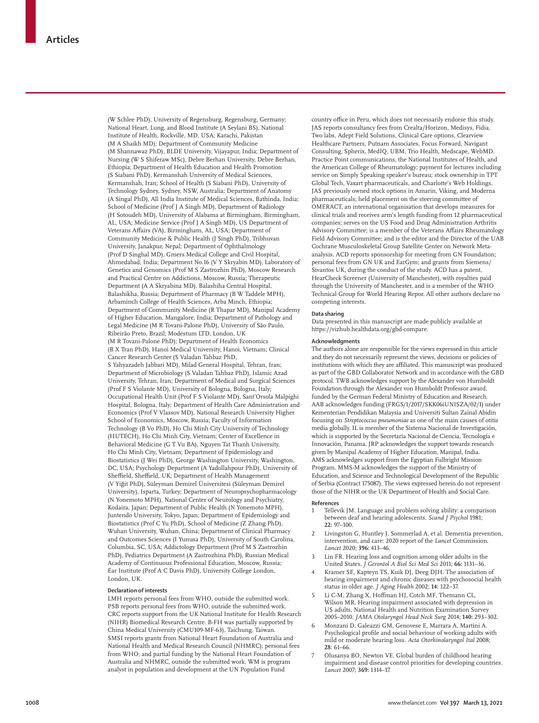(W Schlee PhD), University of Regensburg, Regensburg, Germany; National Heart, Lung, and Blood Institute (A Seylani BS), National Institute of Health, Rockville, MD, USA; Karachi, Pakistan (M A Shaikh MD); Department of Community Medicine (M Shannawaz PhD), BLDE University, Vijayapur, India; Department of Nursing (W S Shiferaw MSc), Debre Berhan University, Debre Berhan, Ethiopia; Department of Health Education and Health Promotion (S Siabani PhD), Kermanshah University of Medical Sciences, Kermanshah, Iran; School of Health (S Siabani PhD), University of Technology Sydney, Sydney, NSW, Australia; Department of Anatomy (A Singal PhD), All India Institute of Medical Sciences, Bathinda, India; School of Medicine (Prof J A Singh MD), Department of Radiology (H Sotoudeh MD), University of Alabama at Birmingham, Birmingham, AL, USA; Medicine Service (Prof J A Singh MD), US Department of Veterans Affairs (VA), Birmingham, AL, USA; Department of Community Medicine & Public Health (J Singh PhD), Tribhuvan University, Janakpur, Nepal; Department of Ophthalmology (Prof D Singhal MD), Gmers Medical College and Civil Hospital, Ahmedabad, India; Department No.16 (V Y Skryabin MD), Laboratory of Genetics and Genomics (Prof M S Zastrozhin PhD), Moscow Research and Practical Centre on Addictions, Moscow, Russia; Therapeutic Department (A A Skryabina MD), Balashiha Central Hospital, Balashikha, Russia; Department of Pharmacy (B W Taddele MPH), Arbaminch College of Health Sciences, Arba Minch, Ethiopia; Department of Community Medicine (R Thapar MD), Manipal Academy of Higher Education, Mangalore, India; Department of Pathology and Legal Medicine (M R Tovani-Palone PhD), University of São Paulo, Ribeirão Preto, Brazil; Modestum LTD, London, UK (M R Tovani-Palone PhD); Department of Health Economics (B X Tran PhD), Hanoi Medical University, Hanoi, Vietnam; Clinical Cancer Research Center (S Valadan Tahbaz PhD, S Yahyazadeh Jabbari MD), Milad General Hospital, Tehran, Iran; Department of Microbiology (S Valadan Tahbaz PhD), Islamic Azad University, Tehran, Iran; Department of Medical and Surgical Sciences (Prof F S Violante MD), University of Bologna, Bologna, Italy; Occupational Health Unit (Prof F S Violante MD), Sant'Orsola Malpighi Hospital, Bologna, Italy; Department of Health Care Administration and Economics (Prof V Vlassov MD), National Research University Higher School of Economics, Moscow, Russia; Faculty of Information Technology (B Vo PhD), Ho Chi Minh City University of Technology (HUTECH), Ho Chi Minh City, Vietnam; Center of Excellence in Behavioral Medicine (G T Vu BA), Nguyen Tat Thanh University, Ho Chi Minh City, Vietnam; Department of Epidemiology and Biostatistics (J Wei PhD), George Washington University, Washington, DC, USA; Psychology Department (A Yadollahpour PhD), University of Sheffield, Sheffield, UK; Department of Health Management (V Yiğit PhD), Süleyman Demirel Üniversitesi (Süleyman Demirel University), Isparta, Turkey; Department of Neuropsychopharmacology (N Yonemoto MPH), National Center of Neurology and Psychiatry, Kodaira, Japan; Department of Public Health (N Yonemoto MPH), Juntendo University, Tokyo, Japan; Department of Epidemiology and Biostatistics (Prof C Yu PhD), School of Medicine (Z Zhang PhD), Wuhan University, Wuhan, China; Department of Clinical Pharmacy and Outcomes Sciences (I Yunusa PhD), University of South Carolina, Columbia, SC, USA; Addictology Department (Prof M S Zastrozhin PhD), Pediatrics Department (A Zastrozhina PhD), Russian Medical Academy of Continuous Professional Education, Moscow, Russia; Ear Institute (Prof A C Davis PhD), University College London, London, UK.

#### **Declaration of interests**

LMH reports personal fees from WHO, outside the submitted work. PSB reports personal fees from WHO, outside the submitted work. CRC reports support from the UK National Institute for Health Research (NIHR) Biomedical Research Centre. B-FH was partially supported by China Medical University (CMU109-MF-63), Taichung, Taiwan. SMSI reports grants from National Heart Foundation of Australia and National Health and Medical Research Council (NHMRC); personal fees from WHO; and partial funding by the National Heart Foundation of Australia and NHMRC, outside the submitted work. WM is program analyst in population and development at the UN Population Fund

country office in Peru, which does not necessarily endorse this study. JAS reports consultancy fees from Crealta/Horizon, Medisys, Fidia, Two labs, Adept Field Solutions, Clinical Care options, Clearview Healthcare Partners, Putnam Associates, Focus Forward, Navigant Consulting, Spherix, MedIQ, UBM, Trio Health, Medscape, WebMD, Practice Point communications, the National Institutes of Health, and the American College of Rheumatology; payment for lectures including service on Simply Speaking speaker's bureau; stock ownership in TPT Global Tech, Vaxart pharmaceuticals, and Charlotte's Web Holdings. JAS previously owned stock options in Amarin, Viking, and Moderna pharmaceuticals; held placement on the steering committee of OMERACT, an international organisation that develops measures for clinical trials and receives arm's length funding from 12 pharmaceutical companies; serves on the US Food and Drug Administration Arthritis Advisory Committee; is a member of the Veterans Affairs Rheumatology Field Advisory Committee; and is the editor and the Director of the UAB Cochrane Musculoskeletal Group Satellite Center on Network Metaanalysis. ACD reports sponsorship for meeting from GN Foundation; personal fees from GN UK and EarGym; and grants from Siemens/ Sivantos UK, during the conduct of the study. ACD has a patent, HearCheck Screener (University of Manchester), with royalties paid through the University of Manchester, and is a member of the WHO Technical Group for World Hearing Repor. All other authors declare no competing interests.

#### **Data sharing**

Data presented in this manuscript are made publicly available at https://vizhub.healthdata.org/gbd-compare.

#### **Acknowledgments**

The authors alone are responsible for the views expressed in this article and they do not necessarily represent the views, decisions or policies of institutions with which they are affiliated. This manuscript was produced as part of the GBD Collaborator Network and in accordance with the GBD protocol. TWB acknowledges support by the Alexander von Humboldt Foundation through the Alexander von Humboldt Professor award, funded by the German Federal Ministry of Education and Research. AAB acknowledges funding (FRGS/1/2017/SKK06iUNISZA/02/1) under Kementerian Pendidikan Malaysia and Universiti Sultan Zainal Abidin focusing on *Streptococcus pneumoniae* as one of the main causes of otitis media globally. IL is member of the Sistema Nacional de Investigación, which is supported by the Secretaría Nacional de Ciencia, Tecnología e Innovación, Panama. JRP acknowledges the support towards research given by Manipal Academy of Higher Education, Manipal, India. AMS acknowledges support from the Egyptian Fulbright Mission Program. MMS-M acknowledges the support of the Ministry of Education, and Science and Technological Development of the Republic of Serbia (Contract 175087). The views expressed herein do not represent those of the NIHR or the UK Department of Health and Social Care.

#### **References**

- 1 Tellevik JM. Language and problem solving ability: a comparison between deaf and hearing adolescents. *Scand J Psychol* 1981; **22:** 97–100.
- Livingston G, Huntley J, Sommerlad A, et al. Dementia prevention, intervention, and care: 2020 report of the *Lancet* Commission. *Lancet* 2020; **396:** 413–46.
- Lin FR. Hearing loss and cognition among older adults in the United States. *J Gerontol A Biol Sci Med Sci* 2011; **66:** 1131–36.
- 4 Kramer SE, Kapteyn TS, Kuik DJ, Deeg DJH. The association of hearing impairment and chronic diseases with psychosocial health status in older age. *J Aging Health* 2002; **14:** 122–37.
- Li C-M, Zhang X, Hoffman HJ, Cotch MF, Themann CL, Wilson MR. Hearing impairment associated with depression in US adults, National Health and Nutrition Examination Survey 2005–2010. *JAMA Otolaryngol Head Neck Surg* 2014; **140:** 293–302.
- 6 Monzani D, Galeazzi GM, Genovese E, Marrara A, Martini A. Psychological profile and social behaviour of working adults with mild or moderate hearing loss. *Acta Otorhinolaryngol Ital* 2008; **28:** 61–66.
- 7 Olusanya BO, Newton VE. Global burden of childhood hearing impairment and disease control priorities for developing countries. *Lancet* 2007; **369:** 1314–17.